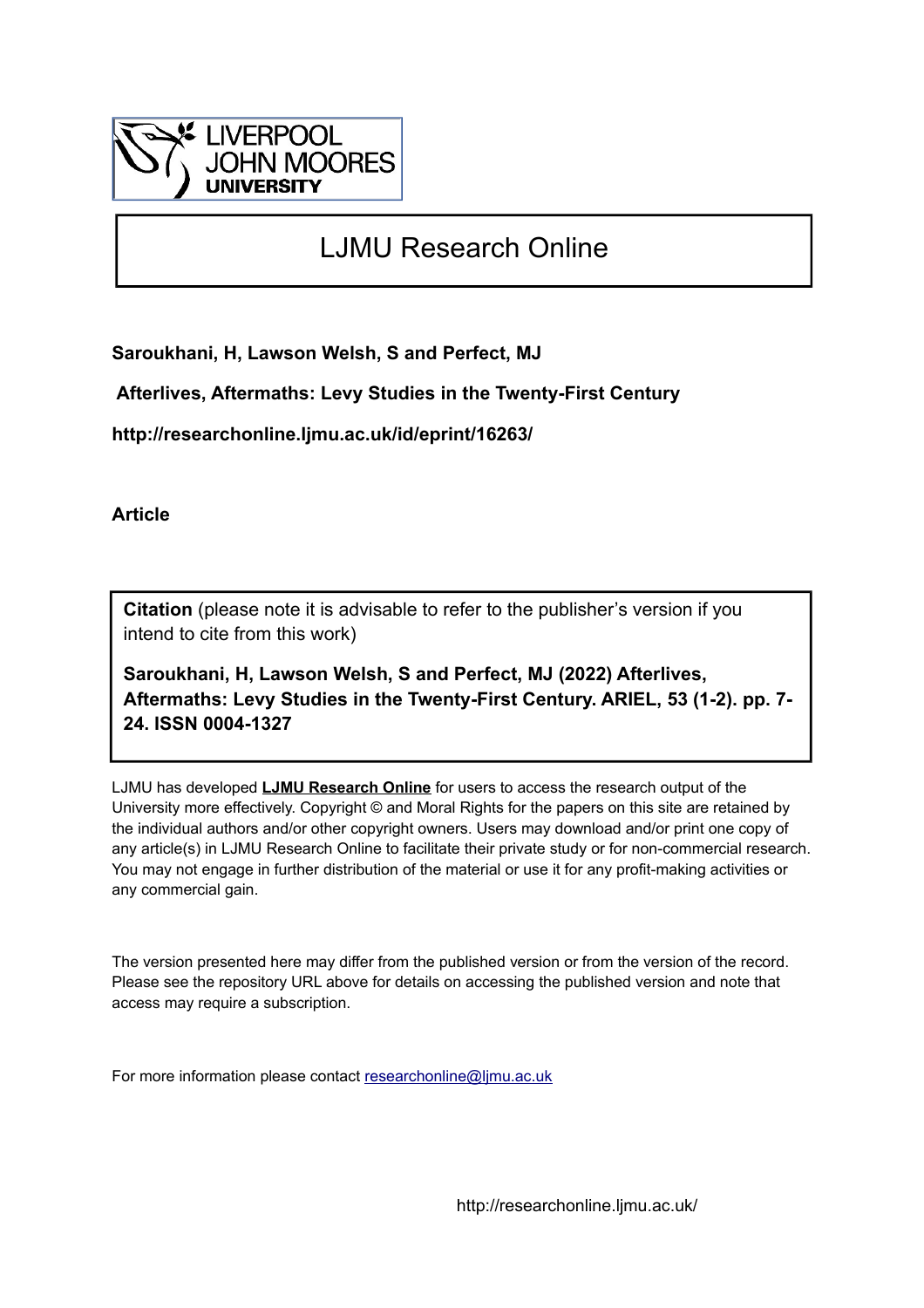

# LJMU Research Online

**Saroukhani, H, Lawson Welsh, S and Perfect, MJ**

 **Afterlives, Aftermaths: Levy Studies in the Twenty-First Century**

**http://researchonline.ljmu.ac.uk/id/eprint/16263/**

**Article**

**Citation** (please note it is advisable to refer to the publisher's version if you intend to cite from this work)

**Saroukhani, H, Lawson Welsh, S and Perfect, MJ (2022) Afterlives, Aftermaths: Levy Studies in the Twenty-First Century. ARIEL, 53 (1-2). pp. 7- 24. ISSN 0004-1327** 

LJMU has developed **[LJMU Research Online](http://researchonline.ljmu.ac.uk/)** for users to access the research output of the University more effectively. Copyright © and Moral Rights for the papers on this site are retained by the individual authors and/or other copyright owners. Users may download and/or print one copy of any article(s) in LJMU Research Online to facilitate their private study or for non-commercial research. You may not engage in further distribution of the material or use it for any profit-making activities or any commercial gain.

The version presented here may differ from the published version or from the version of the record. Please see the repository URL above for details on accessing the published version and note that access may require a subscription.

For more information please contact [researchonline@ljmu.ac.uk](mailto:researchonline@ljmu.ac.uk)

http://researchonline.ljmu.ac.uk/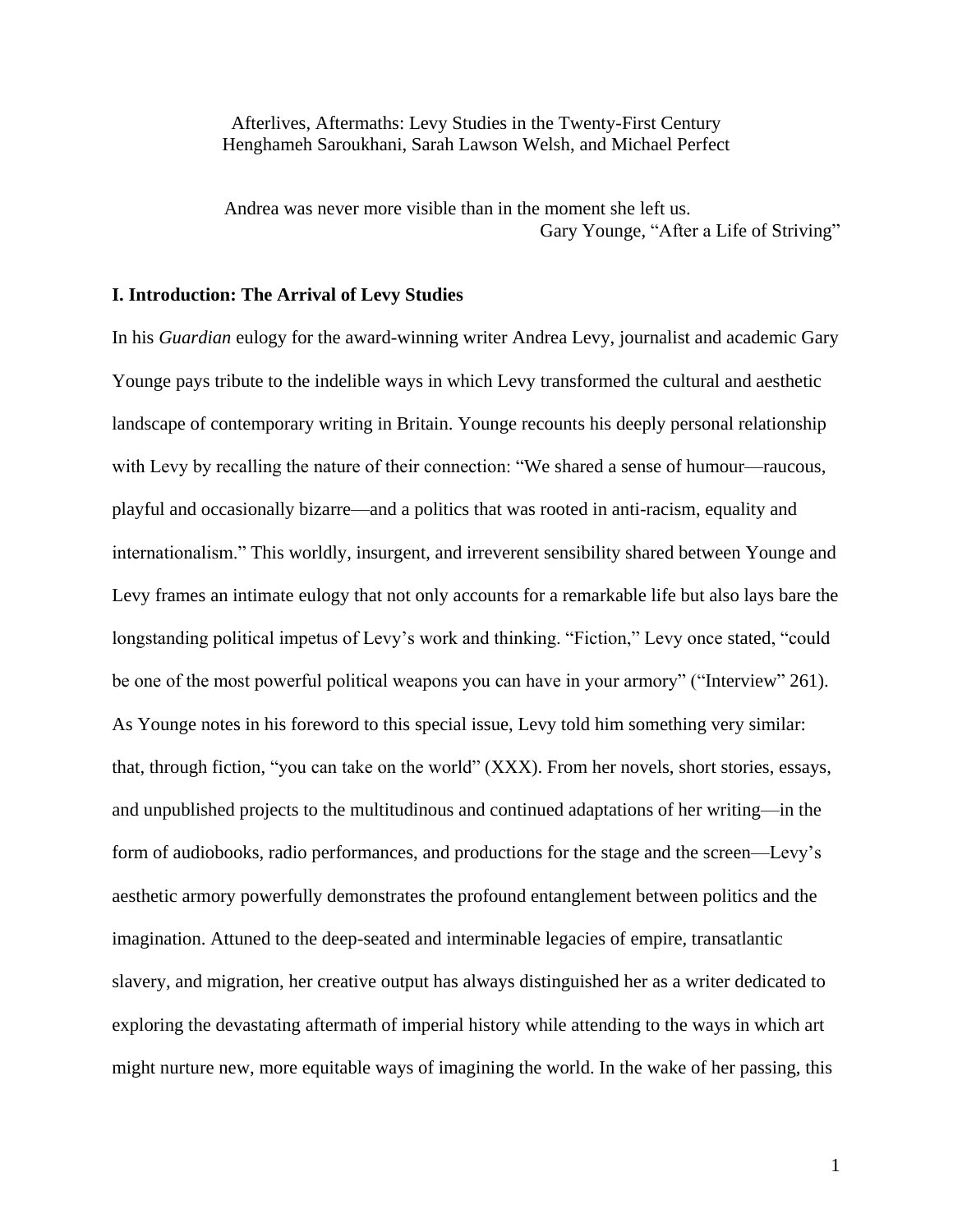Afterlives, Aftermaths: Levy Studies in the Twenty-First Century Henghameh Saroukhani, Sarah Lawson Welsh, and Michael Perfect

Andrea was never more visible than in the moment she left us. Gary Younge, "After a Life of Striving"

### **I. Introduction: The Arrival of Levy Studies**

In his *Guardian* eulogy for the award-winning writer Andrea Levy, journalist and academic Gary Younge pays tribute to the indelible ways in which Levy transformed the cultural and aesthetic landscape of contemporary writing in Britain. Younge recounts his deeply personal relationship with Levy by recalling the nature of their connection: "We shared a sense of humour—raucous, playful and occasionally bizarre—and a politics that was rooted in anti-racism, equality and internationalism." This worldly, insurgent, and irreverent sensibility shared between Younge and Levy frames an intimate eulogy that not only accounts for a remarkable life but also lays bare the longstanding political impetus of Levy's work and thinking. "Fiction," Levy once stated, "could be one of the most powerful political weapons you can have in your armory" ("Interview" 261). As Younge notes in his foreword to this special issue, Levy told him something very similar: that, through fiction, "you can take on the world" (XXX). From her novels, short stories, essays, and unpublished projects to the multitudinous and continued adaptations of her writing—in the form of audiobooks, radio performances, and productions for the stage and the screen—Levy's aesthetic armory powerfully demonstrates the profound entanglement between politics and the imagination. Attuned to the deep-seated and interminable legacies of empire, transatlantic slavery, and migration, her creative output has always distinguished her as a writer dedicated to exploring the devastating aftermath of imperial history while attending to the ways in which art might nurture new, more equitable ways of imagining the world. In the wake of her passing, this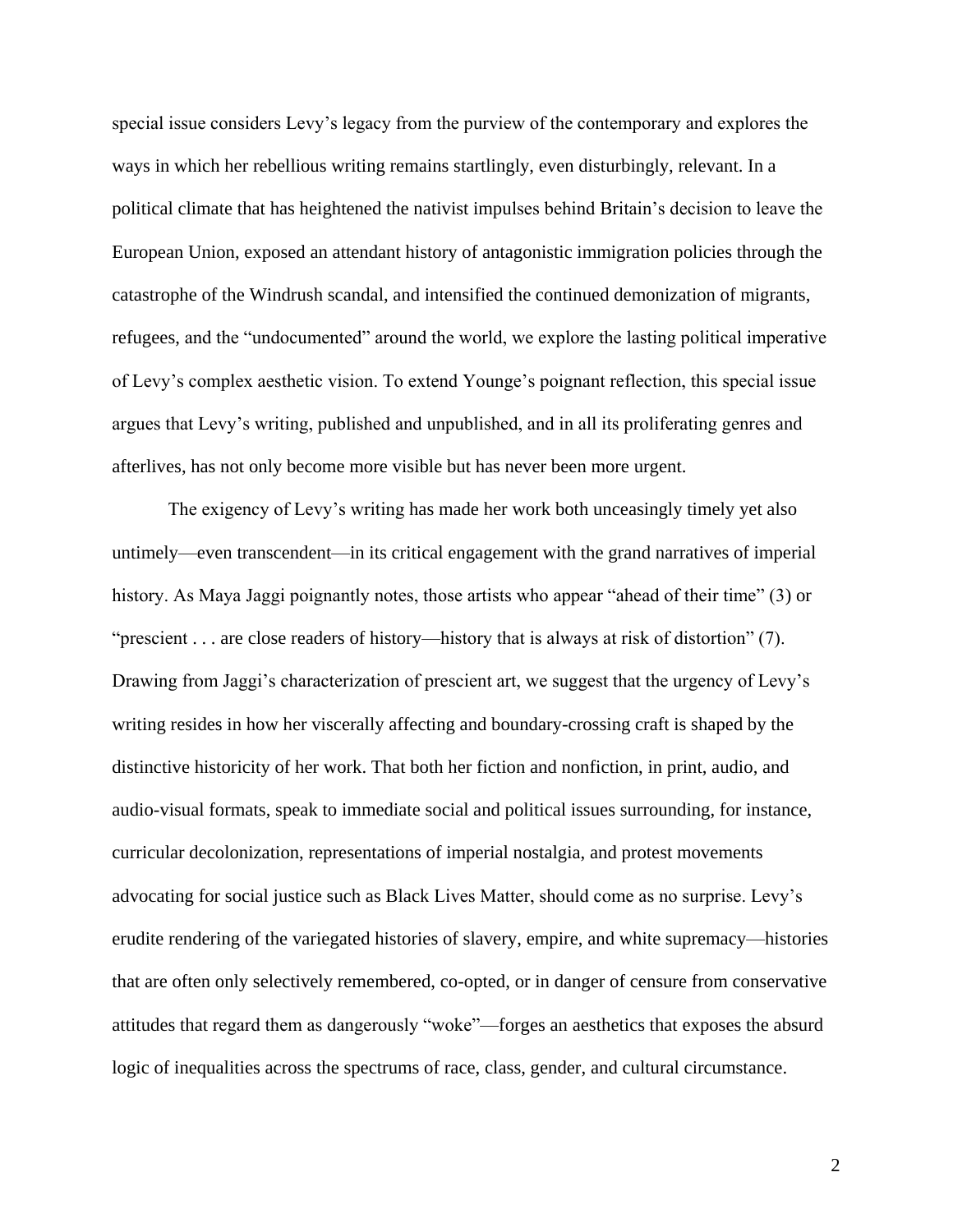special issue considers Levy's legacy from the purview of the contemporary and explores the ways in which her rebellious writing remains startlingly, even disturbingly, relevant. In a political climate that has heightened the nativist impulses behind Britain's decision to leave the European Union, exposed an attendant history of antagonistic immigration policies through the catastrophe of the Windrush scandal, and intensified the continued demonization of migrants, refugees, and the "undocumented" around the world, we explore the lasting political imperative of Levy's complex aesthetic vision. To extend Younge's poignant reflection, this special issue argues that Levy's writing, published and unpublished, and in all its proliferating genres and afterlives, has not only become more visible but has never been more urgent.

The exigency of Levy's writing has made her work both unceasingly timely yet also untimely—even transcendent—in its critical engagement with the grand narratives of imperial history. As Maya Jaggi poignantly notes, those artists who appear "ahead of their time" (3) or "prescient . . . are close readers of history—history that is always at risk of distortion" (7). Drawing from Jaggi's characterization of prescient art, we suggest that the urgency of Levy's writing resides in how her viscerally affecting and boundary-crossing craft is shaped by the distinctive historicity of her work. That both her fiction and nonfiction, in print, audio, and audio-visual formats, speak to immediate social and political issues surrounding, for instance, curricular decolonization, representations of imperial nostalgia, and protest movements advocating for social justice such as Black Lives Matter, should come as no surprise. Levy's erudite rendering of the variegated histories of slavery, empire, and white supremacy—histories that are often only selectively remembered, co-opted, or in danger of censure from conservative attitudes that regard them as dangerously "woke"—forges an aesthetics that exposes the absurd logic of inequalities across the spectrums of race, class, gender, and cultural circumstance.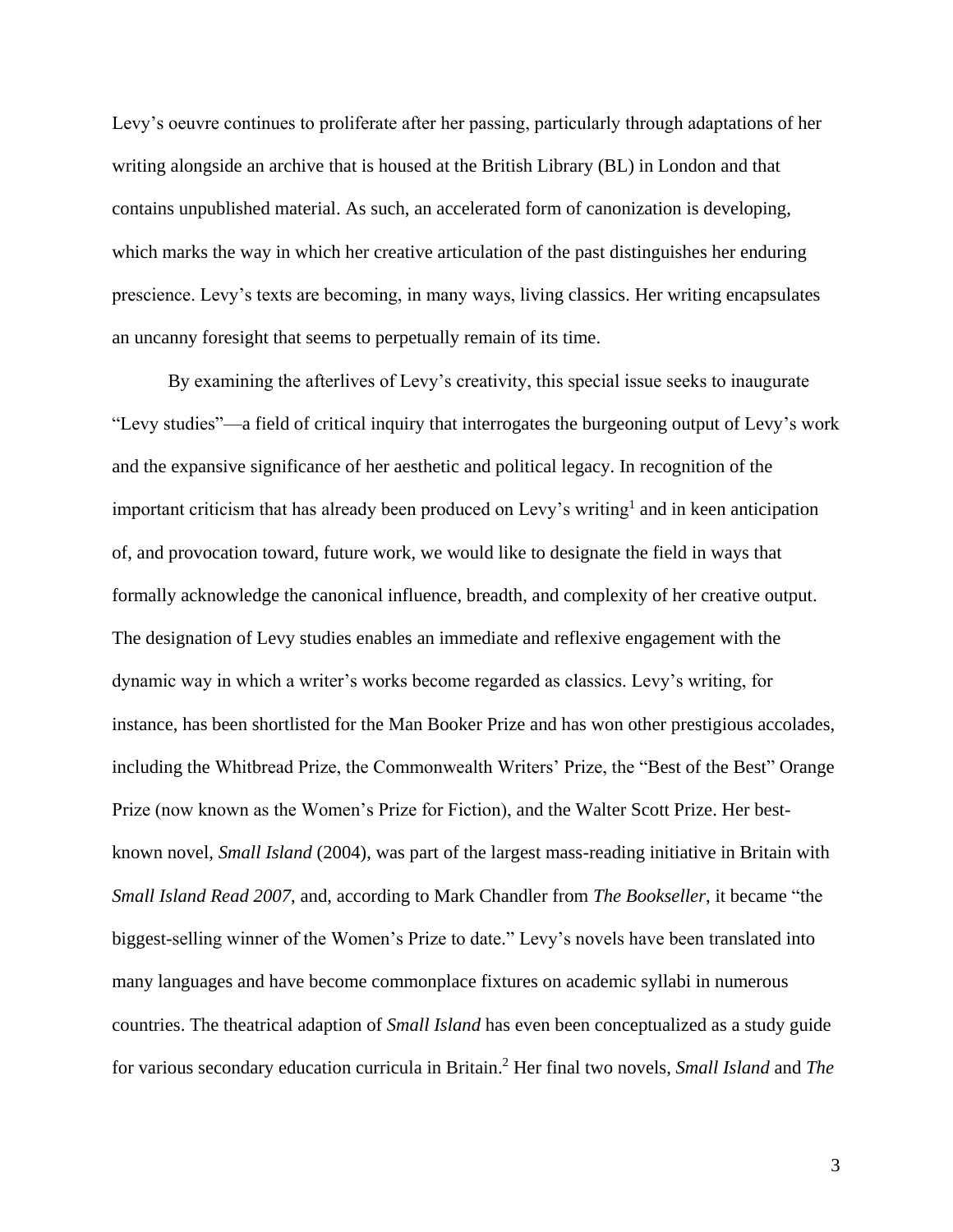Levy's oeuvre continues to proliferate after her passing, particularly through adaptations of her writing alongside an archive that is housed at the British Library (BL) in London and that contains unpublished material. As such, an accelerated form of canonization is developing, which marks the way in which her creative articulation of the past distinguishes her enduring prescience. Levy's texts are becoming, in many ways, living classics. Her writing encapsulates an uncanny foresight that seems to perpetually remain of its time.

By examining the afterlives of Levy's creativity, this special issue seeks to inaugurate "Levy studies"—a field of critical inquiry that interrogates the burgeoning output of Levy's work and the expansive significance of her aesthetic and political legacy. In recognition of the important criticism that has already been produced on Levy's writing<sup>1</sup> and in keen anticipation of, and provocation toward, future work, we would like to designate the field in ways that formally acknowledge the canonical influence, breadth, and complexity of her creative output. The designation of Levy studies enables an immediate and reflexive engagement with the dynamic way in which a writer's works become regarded as classics. Levy's writing, for instance, has been shortlisted for the Man Booker Prize and has won other prestigious accolades, including the Whitbread Prize, the Commonwealth Writers' Prize, the "Best of the Best" Orange Prize (now known as the Women's Prize for Fiction), and the Walter Scott Prize. Her bestknown novel, *Small Island* (2004), was part of the largest mass-reading initiative in Britain with *Small Island Read 2007*, and, according to Mark Chandler from *The Bookseller*, it became "the biggest-selling winner of the Women's Prize to date." Levy's novels have been translated into many languages and have become commonplace fixtures on academic syllabi in numerous countries. The theatrical adaption of *Small Island* has even been conceptualized as a study guide for various secondary education curricula in Britain. <sup>2</sup> Her final two novels, *Small Island* and *The*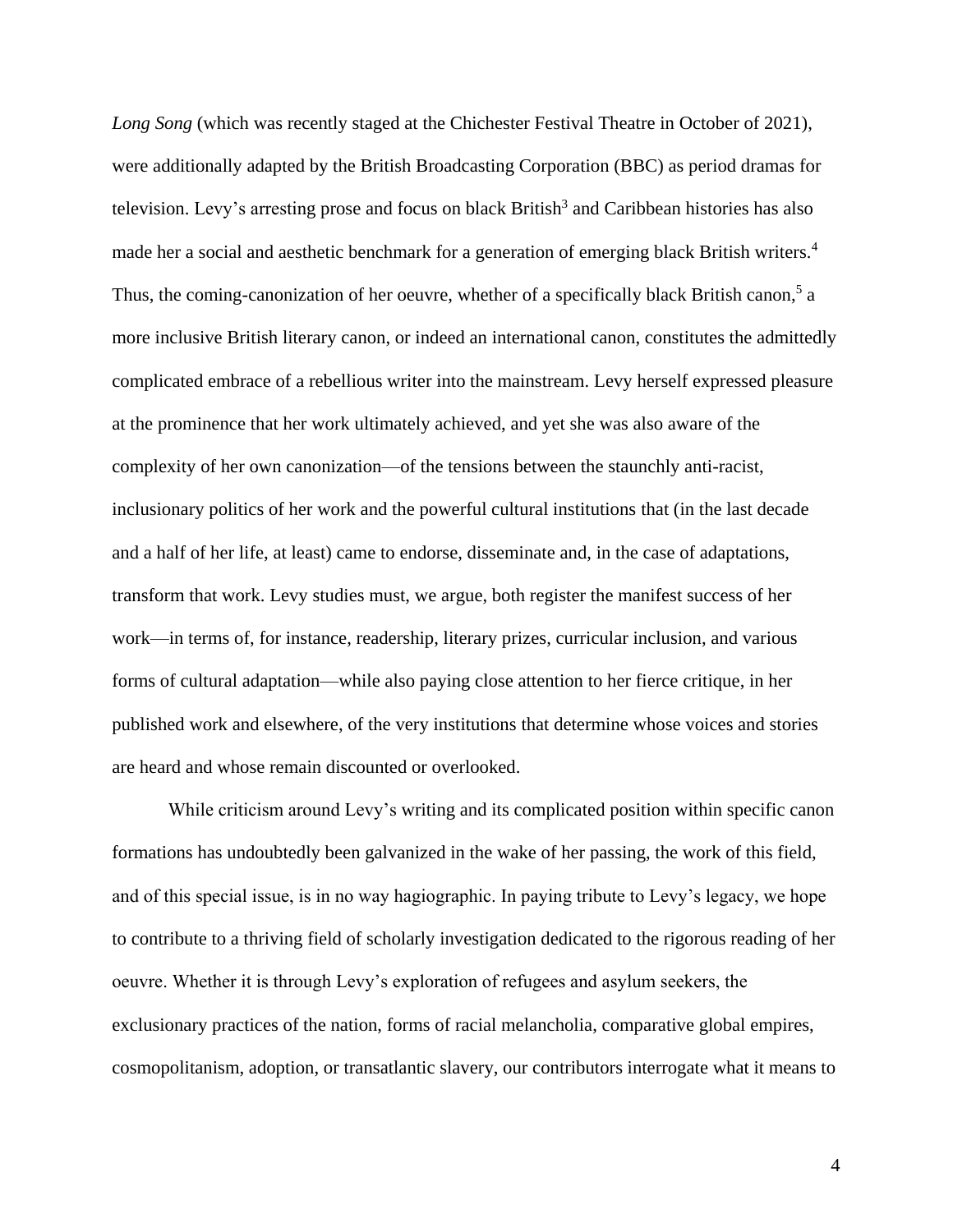*Long Song* (which was recently staged at the Chichester Festival Theatre in October of 2021), were additionally adapted by the British Broadcasting Corporation (BBC) as period dramas for television. Levy's arresting prose and focus on black British<sup>3</sup> and Caribbean histories has also made her a social and aesthetic benchmark for a generation of emerging black British writers.<sup>4</sup> Thus, the coming-canonization of her oeuvre, whether of a specifically black British canon,<sup>5</sup> a more inclusive British literary canon, or indeed an international canon, constitutes the admittedly complicated embrace of a rebellious writer into the mainstream. Levy herself expressed pleasure at the prominence that her work ultimately achieved, and yet she was also aware of the complexity of her own canonization—of the tensions between the staunchly anti-racist, inclusionary politics of her work and the powerful cultural institutions that (in the last decade and a half of her life, at least) came to endorse, disseminate and, in the case of adaptations, transform that work. Levy studies must, we argue, both register the manifest success of her work—in terms of, for instance, readership, literary prizes, curricular inclusion, and various forms of cultural adaptation—while also paying close attention to her fierce critique, in her published work and elsewhere, of the very institutions that determine whose voices and stories are heard and whose remain discounted or overlooked.

While criticism around Levy's writing and its complicated position within specific canon formations has undoubtedly been galvanized in the wake of her passing, the work of this field, and of this special issue, is in no way hagiographic. In paying tribute to Levy's legacy, we hope to contribute to a thriving field of scholarly investigation dedicated to the rigorous reading of her oeuvre. Whether it is through Levy's exploration of refugees and asylum seekers, the exclusionary practices of the nation, forms of racial melancholia, comparative global empires, cosmopolitanism, adoption, or transatlantic slavery, our contributors interrogate what it means to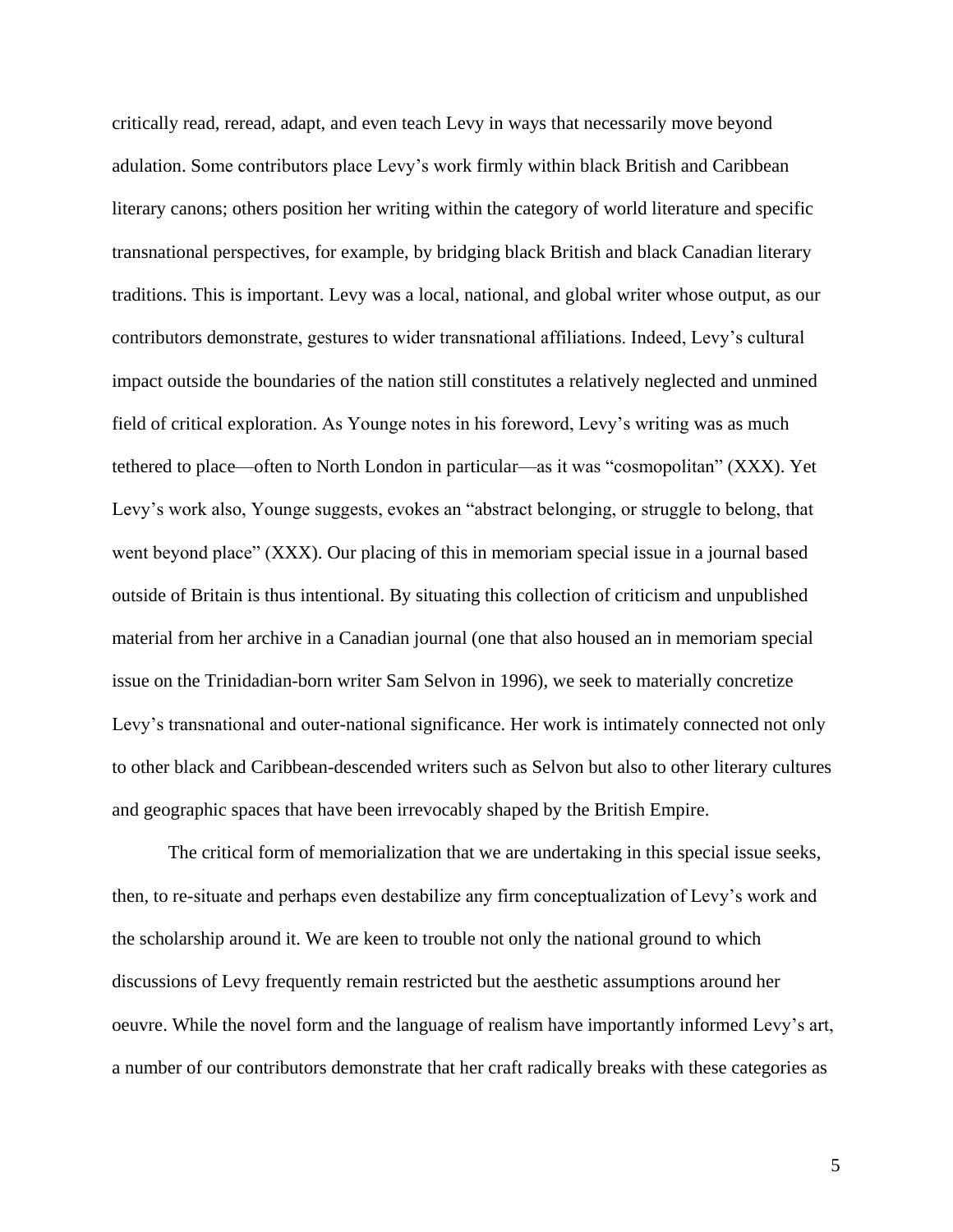critically read, reread, adapt, and even teach Levy in ways that necessarily move beyond adulation. Some contributors place Levy's work firmly within black British and Caribbean literary canons; others position her writing within the category of world literature and specific transnational perspectives, for example, by bridging black British and black Canadian literary traditions. This is important. Levy was a local, national, and global writer whose output, as our contributors demonstrate, gestures to wider transnational affiliations. Indeed, Levy's cultural impact outside the boundaries of the nation still constitutes a relatively neglected and unmined field of critical exploration. As Younge notes in his foreword, Levy's writing was as much tethered to place—often to North London in particular—as it was "cosmopolitan" (XXX). Yet Levy's work also, Younge suggests, evokes an "abstract belonging, or struggle to belong, that went beyond place" (XXX). Our placing of this in memoriam special issue in a journal based outside of Britain is thus intentional. By situating this collection of criticism and unpublished material from her archive in a Canadian journal (one that also housed an in memoriam special issue on the Trinidadian-born writer Sam Selvon in 1996), we seek to materially concretize Levy's transnational and outer-national significance. Her work is intimately connected not only to other black and Caribbean-descended writers such as Selvon but also to other literary cultures and geographic spaces that have been irrevocably shaped by the British Empire.

The critical form of memorialization that we are undertaking in this special issue seeks, then, to re-situate and perhaps even destabilize any firm conceptualization of Levy's work and the scholarship around it. We are keen to trouble not only the national ground to which discussions of Levy frequently remain restricted but the aesthetic assumptions around her oeuvre. While the novel form and the language of realism have importantly informed Levy's art, a number of our contributors demonstrate that her craft radically breaks with these categories as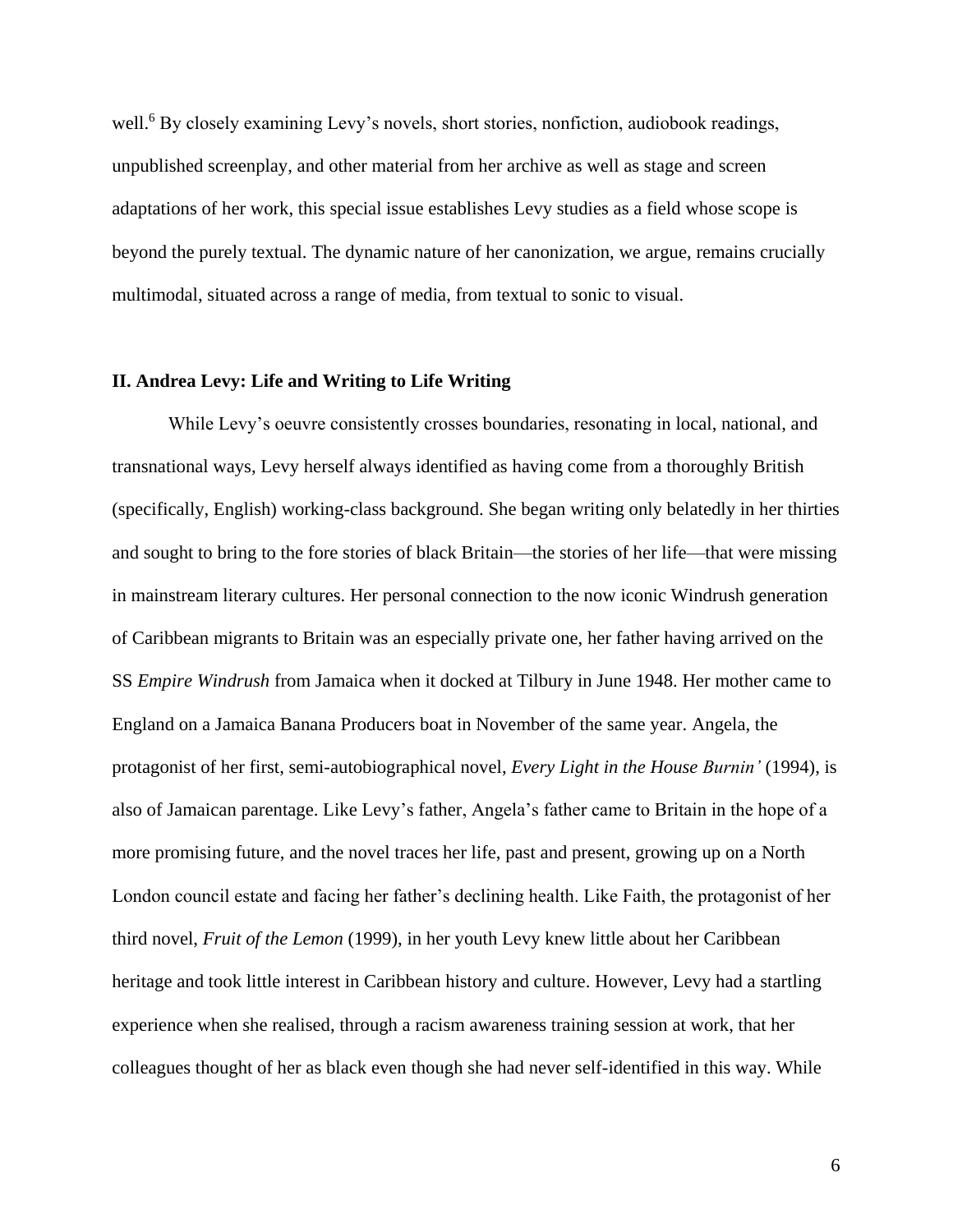well.<sup>6</sup> By closely examining Levy's novels, short stories, nonfiction, audiobook readings, unpublished screenplay, and other material from her archive as well as stage and screen adaptations of her work, this special issue establishes Levy studies as a field whose scope is beyond the purely textual. The dynamic nature of her canonization, we argue, remains crucially multimodal, situated across a range of media, from textual to sonic to visual.

#### **II. Andrea Levy: Life and Writing to Life Writing**

While Levy's oeuvre consistently crosses boundaries, resonating in local, national, and transnational ways, Levy herself always identified as having come from a thoroughly British (specifically, English) working-class background. She began writing only belatedly in her thirties and sought to bring to the fore stories of black Britain—the stories of her life—that were missing in mainstream literary cultures. Her personal connection to the now iconic Windrush generation of Caribbean migrants to Britain was an especially private one, her father having arrived on the SS *Empire Windrush* from Jamaica when it docked at Tilbury in June 1948. Her mother came to England on a Jamaica Banana Producers boat in November of the same year. Angela, the protagonist of her first, semi-autobiographical novel, *Every Light in the House Burnin'* (1994), is also of Jamaican parentage. Like Levy's father, Angela's father came to Britain in the hope of a more promising future, and the novel traces her life, past and present, growing up on a North London council estate and facing her father's declining health. Like Faith, the protagonist of her third novel, *Fruit of the Lemon* (1999), in her youth Levy knew little about her Caribbean heritage and took little interest in Caribbean history and culture. However, Levy had a startling experience when she realised, through a racism awareness training session at work, that her colleagues thought of her as black even though she had never self-identified in this way. While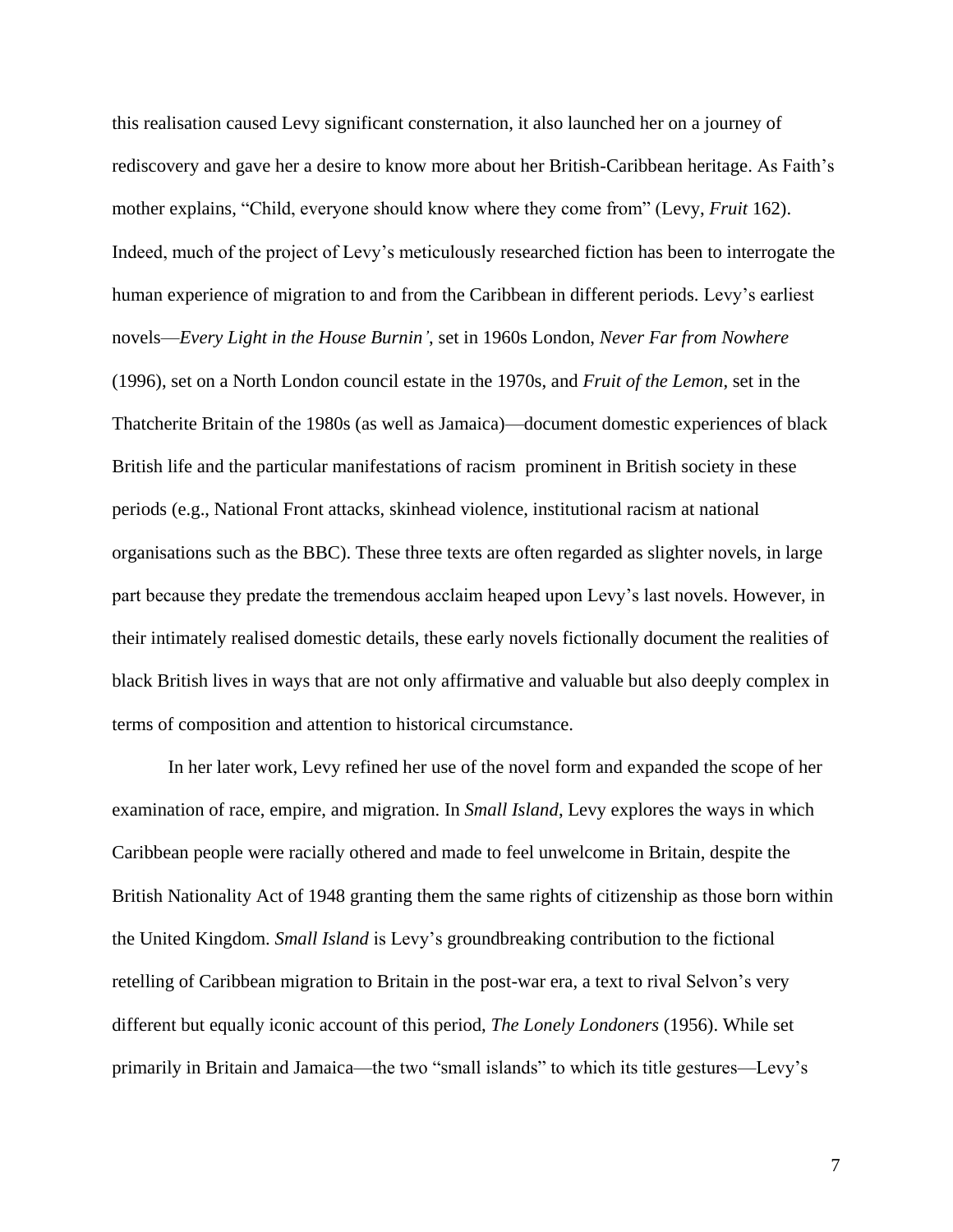this realisation caused Levy significant consternation, it also launched her on a journey of rediscovery and gave her a desire to know more about her British-Caribbean heritage. As Faith's mother explains, "Child, everyone should know where they come from" (Levy, *Fruit* 162). Indeed, much of the project of Levy's meticulously researched fiction has been to interrogate the human experience of migration to and from the Caribbean in different periods. Levy's earliest novels—*Every Light in the House Burnin'*, set in 1960s London, *Never Far from Nowhere*  (1996), set on a North London council estate in the 1970s, and *Fruit of the Lemon*, set in the Thatcherite Britain of the 1980s (as well as Jamaica)—document domestic experiences of black British life and the particular manifestations of racism prominent in British society in these periods (e.g., National Front attacks, skinhead violence, institutional racism at national organisations such as the BBC). These three texts are often regarded as slighter novels, in large part because they predate the tremendous acclaim heaped upon Levy's last novels. However, in their intimately realised domestic details, these early novels fictionally document the realities of black British lives in ways that are not only affirmative and valuable but also deeply complex in terms of composition and attention to historical circumstance.

In her later work, Levy refined her use of the novel form and expanded the scope of her examination of race, empire, and migration. In *Small Island*, Levy explores the ways in which Caribbean people were racially othered and made to feel unwelcome in Britain, despite the British Nationality Act of 1948 granting them the same rights of citizenship as those born within the United Kingdom. *Small Island* is Levy's groundbreaking contribution to the fictional retelling of Caribbean migration to Britain in the post-war era, a text to rival Selvon's very different but equally iconic account of this period, *The Lonely Londoners* (1956). While set primarily in Britain and Jamaica—the two "small islands" to which its title gestures—Levy's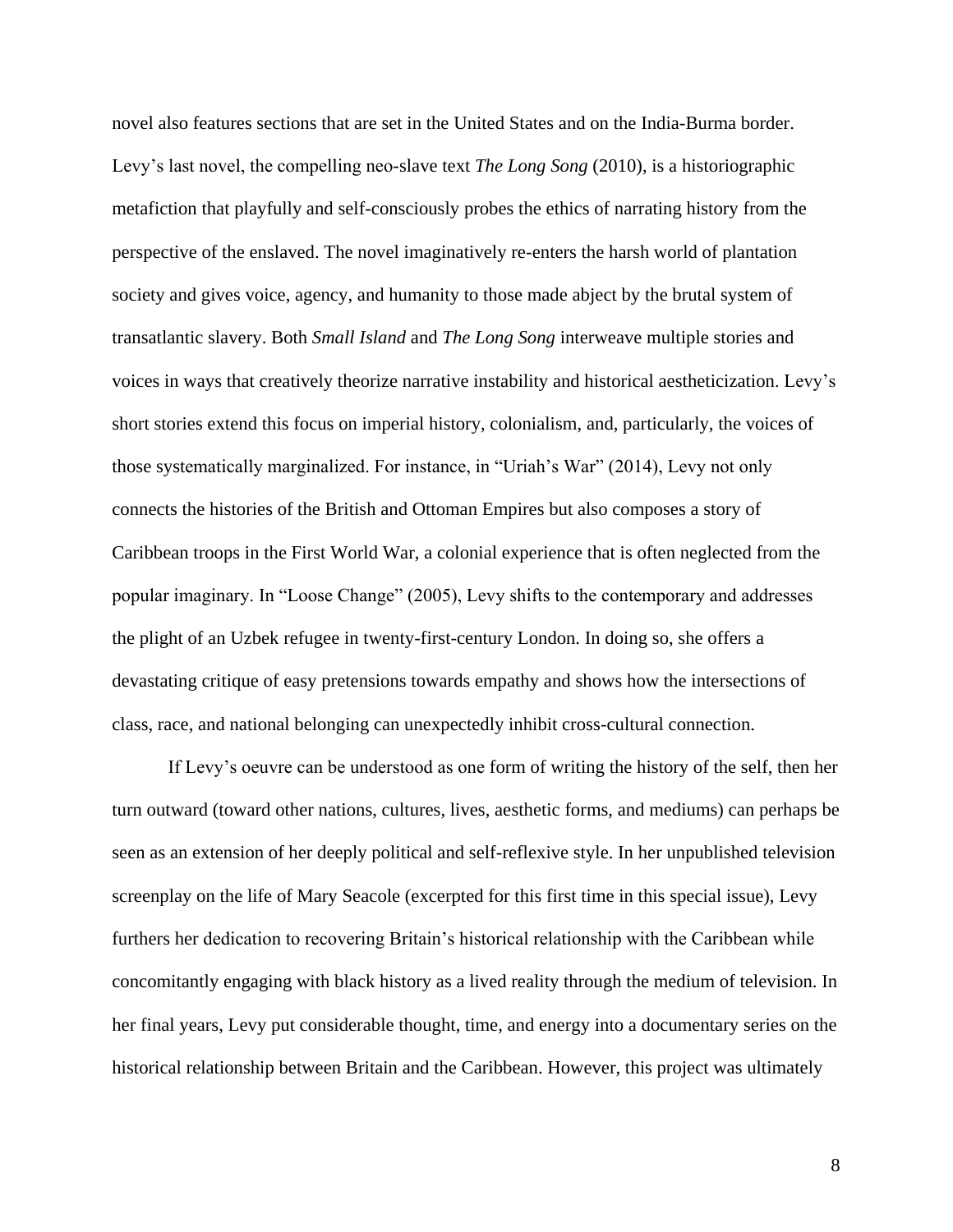novel also features sections that are set in the United States and on the India-Burma border. Levy's last novel, the compelling neo-slave text *The Long Song* (2010), is a historiographic metafiction that playfully and self-consciously probes the ethics of narrating history from the perspective of the enslaved. The novel imaginatively re-enters the harsh world of plantation society and gives voice, agency, and humanity to those made abject by the brutal system of transatlantic slavery. Both *Small Island* and *The Long Song* interweave multiple stories and voices in ways that creatively theorize narrative instability and historical aestheticization. Levy's short stories extend this focus on imperial history, colonialism, and, particularly, the voices of those systematically marginalized. For instance, in "Uriah's War" (2014), Levy not only connects the histories of the British and Ottoman Empires but also composes a story of Caribbean troops in the First World War, a colonial experience that is often neglected from the popular imaginary. In "Loose Change" (2005), Levy shifts to the contemporary and addresses the plight of an Uzbek refugee in twenty-first-century London. In doing so, she offers a devastating critique of easy pretensions towards empathy and shows how the intersections of class, race, and national belonging can unexpectedly inhibit cross-cultural connection.

If Levy's oeuvre can be understood as one form of writing the history of the self, then her turn outward (toward other nations, cultures, lives, aesthetic forms, and mediums) can perhaps be seen as an extension of her deeply political and self-reflexive style. In her unpublished television screenplay on the life of Mary Seacole (excerpted for this first time in this special issue), Levy furthers her dedication to recovering Britain's historical relationship with the Caribbean while concomitantly engaging with black history as a lived reality through the medium of television. In her final years, Levy put considerable thought, time, and energy into a documentary series on the historical relationship between Britain and the Caribbean. However, this project was ultimately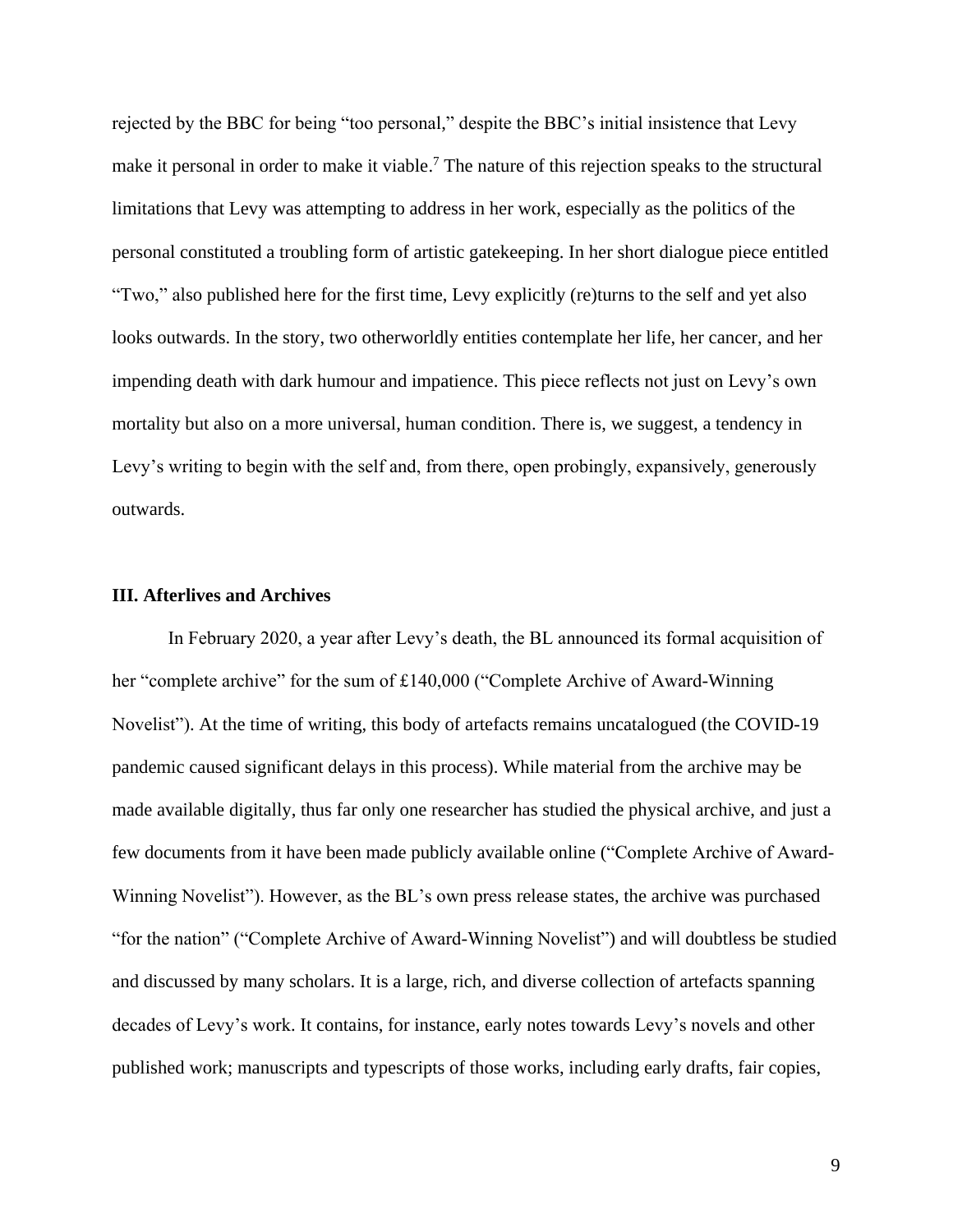rejected by the BBC for being "too personal," despite the BBC's initial insistence that Levy make it personal in order to make it viable.<sup>7</sup> The nature of this rejection speaks to the structural limitations that Levy was attempting to address in her work, especially as the politics of the personal constituted a troubling form of artistic gatekeeping. In her short dialogue piece entitled "Two," also published here for the first time, Levy explicitly (re)turns to the self and yet also looks outwards. In the story, two otherworldly entities contemplate her life, her cancer, and her impending death with dark humour and impatience. This piece reflects not just on Levy's own mortality but also on a more universal, human condition. There is, we suggest, a tendency in Levy's writing to begin with the self and, from there, open probingly, expansively, generously outwards.

#### **III. Afterlives and Archives**

In February 2020, a year after Levy's death, the BL announced its formal acquisition of her "complete archive" for the sum of £140,000 ("Complete Archive of Award-Winning Novelist"). At the time of writing, this body of artefacts remains uncatalogued (the COVID-19 pandemic caused significant delays in this process). While material from the archive may be made available digitally, thus far only one researcher has studied the physical archive, and just a few documents from it have been made publicly available online ("Complete Archive of Award-Winning Novelist"). However, as the BL's own press release states, the archive was purchased "for the nation" ("Complete Archive of Award-Winning Novelist") and will doubtless be studied and discussed by many scholars. It is a large, rich, and diverse collection of artefacts spanning decades of Levy's work. It contains, for instance, early notes towards Levy's novels and other published work; manuscripts and typescripts of those works, including early drafts, fair copies,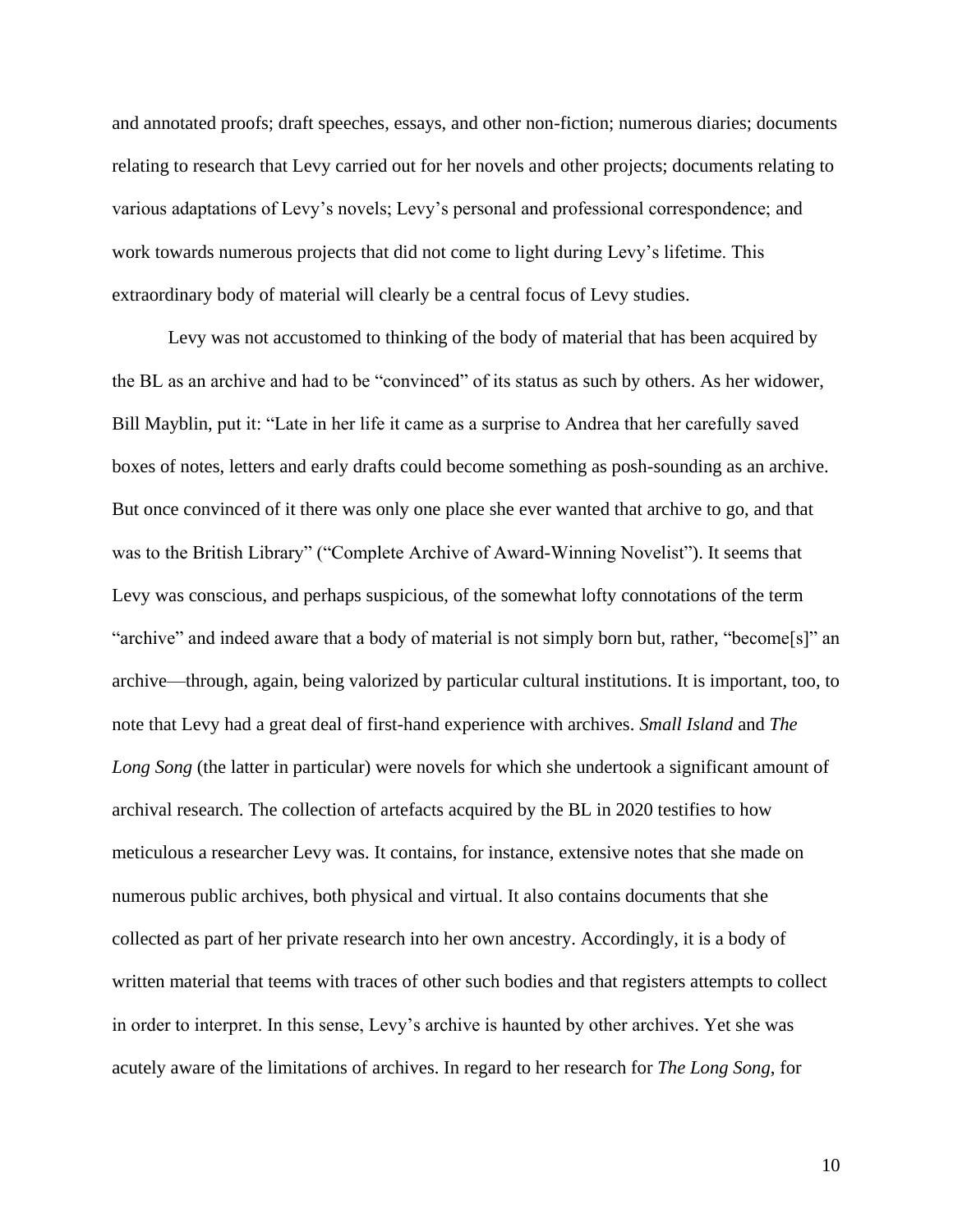and annotated proofs; draft speeches, essays, and other non-fiction; numerous diaries; documents relating to research that Levy carried out for her novels and other projects; documents relating to various adaptations of Levy's novels; Levy's personal and professional correspondence; and work towards numerous projects that did not come to light during Levy's lifetime. This extraordinary body of material will clearly be a central focus of Levy studies.

Levy was not accustomed to thinking of the body of material that has been acquired by the BL as an archive and had to be "convinced" of its status as such by others. As her widower, Bill Mayblin, put it: "Late in her life it came as a surprise to Andrea that her carefully saved boxes of notes, letters and early drafts could become something as posh-sounding as an archive. But once convinced of it there was only one place she ever wanted that archive to go, and that was to the British Library" ("Complete Archive of Award-Winning Novelist"). It seems that Levy was conscious, and perhaps suspicious, of the somewhat lofty connotations of the term "archive" and indeed aware that a body of material is not simply born but, rather, "become[s]" an archive—through, again, being valorized by particular cultural institutions. It is important, too, to note that Levy had a great deal of first-hand experience with archives. *Small Island* and *The*  Long Song (the latter in particular) were novels for which she undertook a significant amount of archival research. The collection of artefacts acquired by the BL in 2020 testifies to how meticulous a researcher Levy was. It contains, for instance, extensive notes that she made on numerous public archives, both physical and virtual. It also contains documents that she collected as part of her private research into her own ancestry. Accordingly, it is a body of written material that teems with traces of other such bodies and that registers attempts to collect in order to interpret. In this sense, Levy's archive is haunted by other archives. Yet she was acutely aware of the limitations of archives. In regard to her research for *The Long Song*, for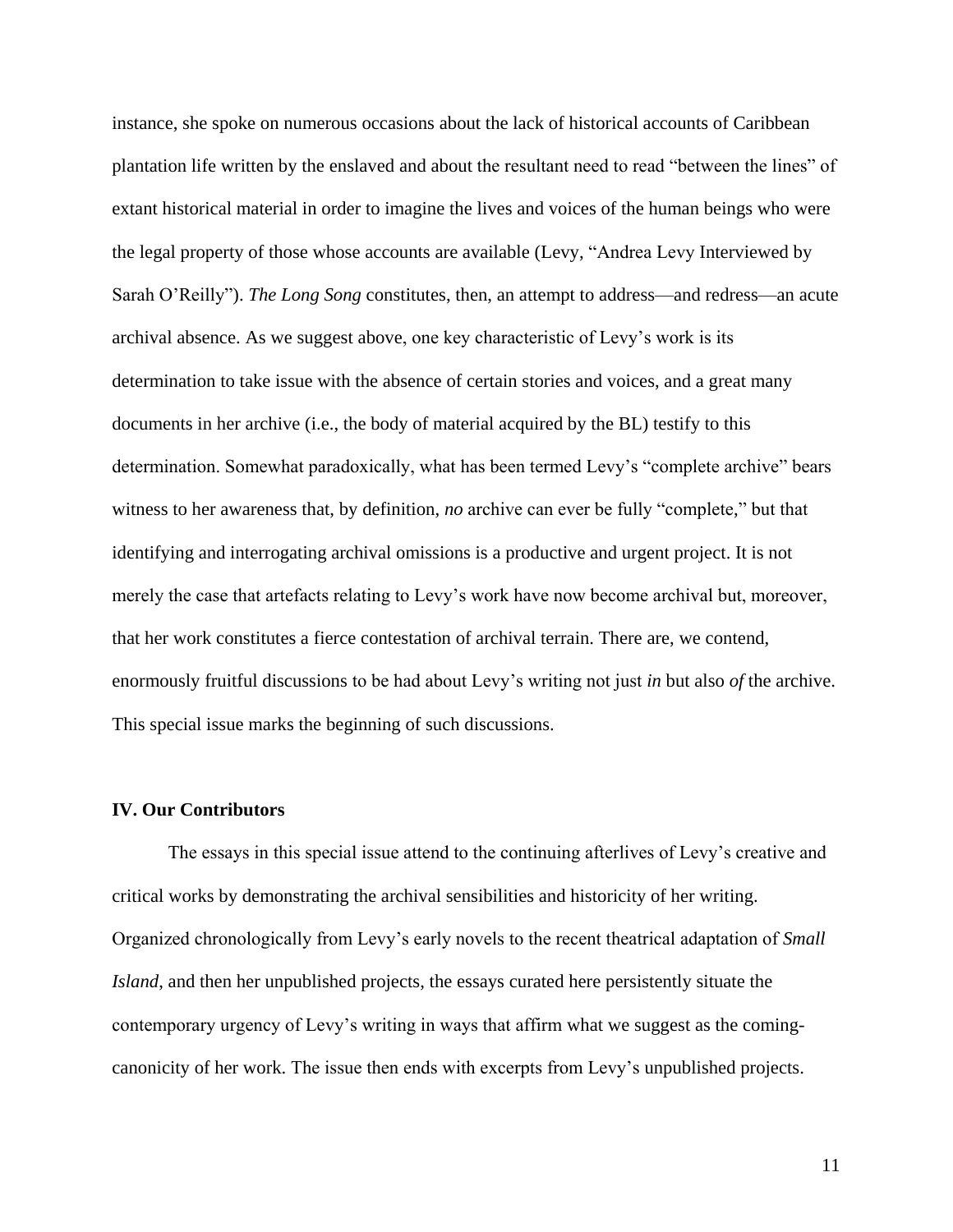instance, she spoke on numerous occasions about the lack of historical accounts of Caribbean plantation life written by the enslaved and about the resultant need to read "between the lines" of extant historical material in order to imagine the lives and voices of the human beings who were the legal property of those whose accounts are available (Levy, "Andrea Levy Interviewed by Sarah O'Reilly"). *The Long Song* constitutes, then, an attempt to address—and redress—an acute archival absence. As we suggest above, one key characteristic of Levy's work is its determination to take issue with the absence of certain stories and voices, and a great many documents in her archive (i.e., the body of material acquired by the BL) testify to this determination. Somewhat paradoxically, what has been termed Levy's "complete archive" bears witness to her awareness that, by definition, *no* archive can ever be fully "complete," but that identifying and interrogating archival omissions is a productive and urgent project. It is not merely the case that artefacts relating to Levy's work have now become archival but, moreover, that her work constitutes a fierce contestation of archival terrain. There are, we contend, enormously fruitful discussions to be had about Levy's writing not just *in* but also *of* the archive. This special issue marks the beginning of such discussions.

#### **IV. Our Contributors**

The essays in this special issue attend to the continuing afterlives of Levy's creative and critical works by demonstrating the archival sensibilities and historicity of her writing. Organized chronologically from Levy's early novels to the recent theatrical adaptation of *Small Island*, and then her unpublished projects, the essays curated here persistently situate the contemporary urgency of Levy's writing in ways that affirm what we suggest as the comingcanonicity of her work. The issue then ends with excerpts from Levy's unpublished projects.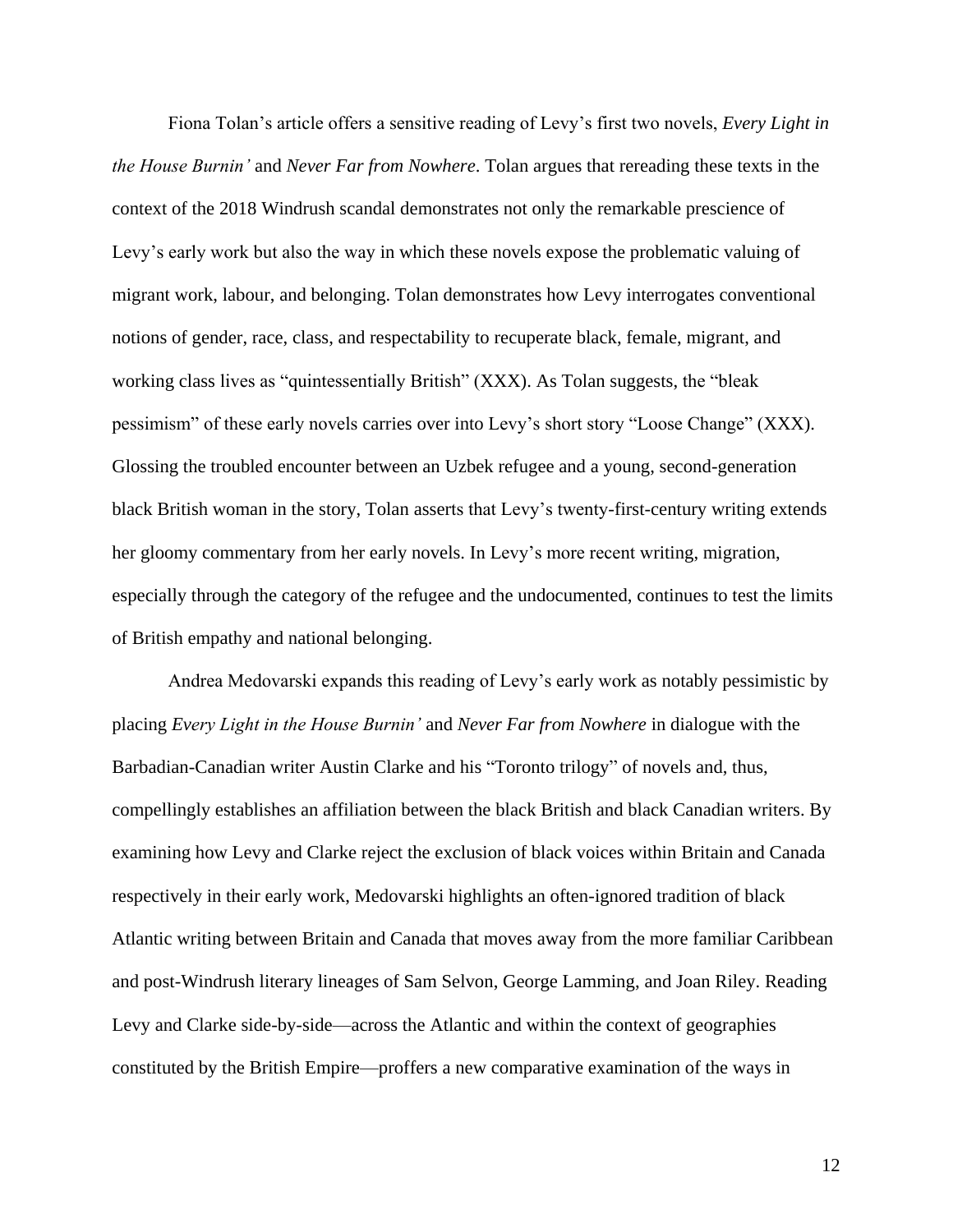Fiona Tolan's article offers a sensitive reading of Levy's first two novels, *Every Light in the House Burnin'* and *Never Far from Nowhere*. Tolan argues that rereading these texts in the context of the 2018 Windrush scandal demonstrates not only the remarkable prescience of Levy's early work but also the way in which these novels expose the problematic valuing of migrant work, labour, and belonging. Tolan demonstrates how Levy interrogates conventional notions of gender, race, class, and respectability to recuperate black, female, migrant, and working class lives as "quintessentially British" (XXX). As Tolan suggests, the "bleak pessimism" of these early novels carries over into Levy's short story "Loose Change" (XXX). Glossing the troubled encounter between an Uzbek refugee and a young, second-generation black British woman in the story, Tolan asserts that Levy's twenty-first-century writing extends her gloomy commentary from her early novels. In Levy's more recent writing, migration, especially through the category of the refugee and the undocumented, continues to test the limits of British empathy and national belonging.

Andrea Medovarski expands this reading of Levy's early work as notably pessimistic by placing *Every Light in the House Burnin'* and *Never Far from Nowhere* in dialogue with the Barbadian-Canadian writer Austin Clarke and his "Toronto trilogy" of novels and, thus, compellingly establishes an affiliation between the black British and black Canadian writers. By examining how Levy and Clarke reject the exclusion of black voices within Britain and Canada respectively in their early work, Medovarski highlights an often-ignored tradition of black Atlantic writing between Britain and Canada that moves away from the more familiar Caribbean and post-Windrush literary lineages of Sam Selvon, George Lamming, and Joan Riley. Reading Levy and Clarke side-by-side—across the Atlantic and within the context of geographies constituted by the British Empire—proffers a new comparative examination of the ways in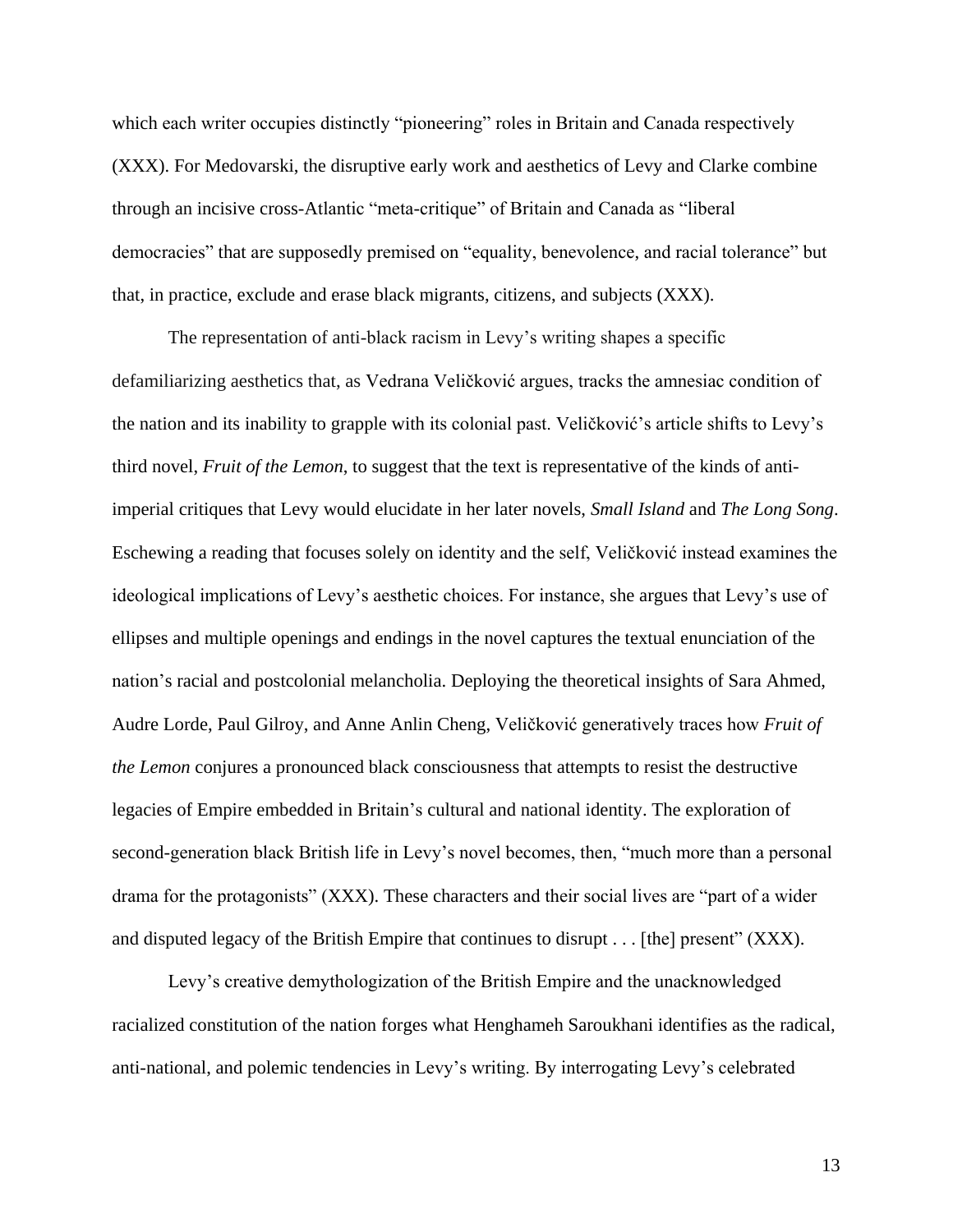which each writer occupies distinctly "pioneering" roles in Britain and Canada respectively (XXX). For Medovarski, the disruptive early work and aesthetics of Levy and Clarke combine through an incisive cross-Atlantic "meta-critique" of Britain and Canada as "liberal democracies" that are supposedly premised on "equality, benevolence, and racial tolerance" but that, in practice, exclude and erase black migrants, citizens, and subjects (XXX).

The representation of anti-black racism in Levy's writing shapes a specific defamiliarizing aesthetics that, as Vedrana Veličković argues, tracks the amnesiac condition of the nation and its inability to grapple with its colonial past. Veličković's article shifts to Levy's third novel, *Fruit of the Lemon*, to suggest that the text is representative of the kinds of antiimperial critiques that Levy would elucidate in her later novels, *Small Island* and *The Long Song*. Eschewing a reading that focuses solely on identity and the self, Veličković instead examines the ideological implications of Levy's aesthetic choices. For instance, she argues that Levy's use of ellipses and multiple openings and endings in the novel captures the textual enunciation of the nation's racial and postcolonial melancholia. Deploying the theoretical insights of Sara Ahmed, Audre Lorde, Paul Gilroy, and Anne Anlin Cheng, Veličković generatively traces how *Fruit of the Lemon* conjures a pronounced black consciousness that attempts to resist the destructive legacies of Empire embedded in Britain's cultural and national identity. The exploration of second-generation black British life in Levy's novel becomes, then, "much more than a personal drama for the protagonists" (XXX). These characters and their social lives are "part of a wider and disputed legacy of the British Empire that continues to disrupt . . . [the] present" (XXX).

Levy's creative demythologization of the British Empire and the unacknowledged racialized constitution of the nation forges what Henghameh Saroukhani identifies as the radical, anti-national, and polemic tendencies in Levy's writing. By interrogating Levy's celebrated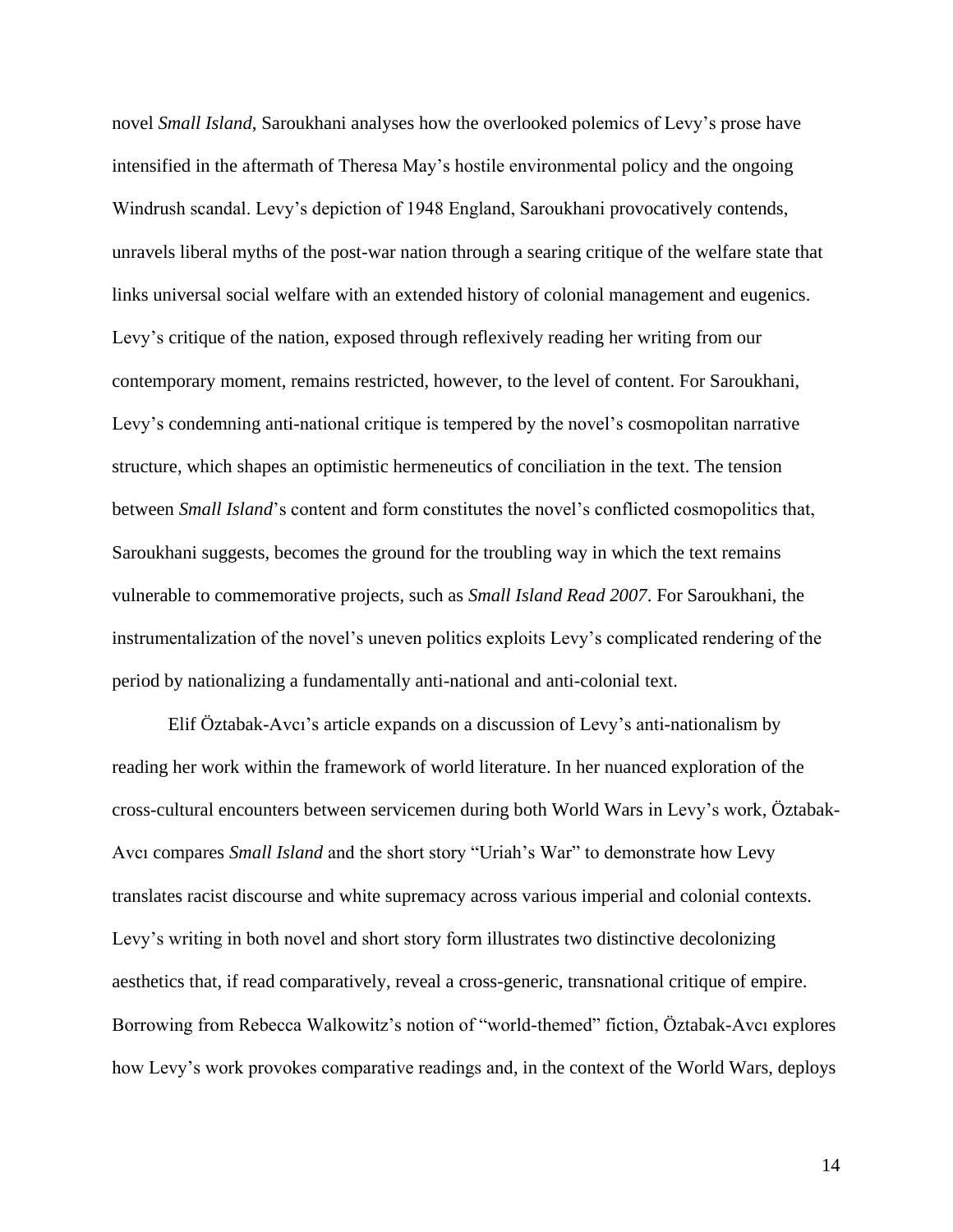novel *Small Island*, Saroukhani analyses how the overlooked polemics of Levy's prose have intensified in the aftermath of Theresa May's hostile environmental policy and the ongoing Windrush scandal. Levy's depiction of 1948 England, Saroukhani provocatively contends, unravels liberal myths of the post-war nation through a searing critique of the welfare state that links universal social welfare with an extended history of colonial management and eugenics. Levy's critique of the nation, exposed through reflexively reading her writing from our contemporary moment, remains restricted, however, to the level of content. For Saroukhani, Levy's condemning anti-national critique is tempered by the novel's cosmopolitan narrative structure, which shapes an optimistic hermeneutics of conciliation in the text. The tension between *Small Island*'s content and form constitutes the novel's conflicted cosmopolitics that, Saroukhani suggests, becomes the ground for the troubling way in which the text remains vulnerable to commemorative projects, such as *Small Island Read 2007*. For Saroukhani, the instrumentalization of the novel's uneven politics exploits Levy's complicated rendering of the period by nationalizing a fundamentally anti-national and anti-colonial text.

Elif Öztabak-Avcı's article expands on a discussion of Levy's anti-nationalism by reading her work within the framework of world literature. In her nuanced exploration of the cross-cultural encounters between servicemen during both World Wars in Levy's work, Öztabak-Avcı compares *Small Island* and the short story "Uriah's War" to demonstrate how Levy translates racist discourse and white supremacy across various imperial and colonial contexts. Levy's writing in both novel and short story form illustrates two distinctive decolonizing aesthetics that, if read comparatively, reveal a cross-generic, transnational critique of empire. Borrowing from Rebecca Walkowitz's notion of "world-themed" fiction, Öztabak-Avcı explores how Levy's work provokes comparative readings and, in the context of the World Wars, deploys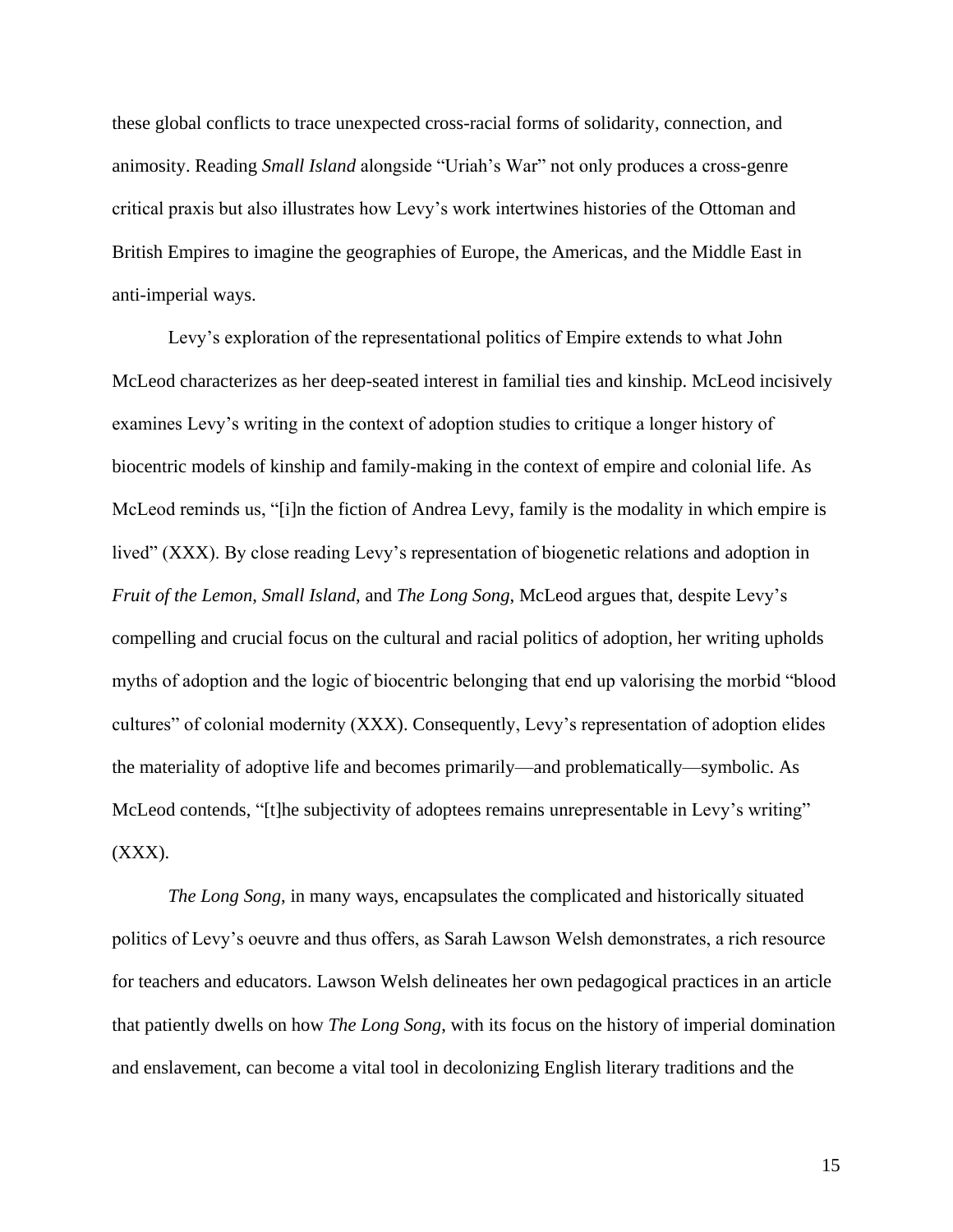these global conflicts to trace unexpected cross-racial forms of solidarity, connection, and animosity. Reading *Small Island* alongside "Uriah's War" not only produces a cross-genre critical praxis but also illustrates how Levy's work intertwines histories of the Ottoman and British Empires to imagine the geographies of Europe, the Americas, and the Middle East in anti-imperial ways.

Levy's exploration of the representational politics of Empire extends to what John McLeod characterizes as her deep-seated interest in familial ties and kinship. McLeod incisively examines Levy's writing in the context of adoption studies to critique a longer history of biocentric models of kinship and family-making in the context of empire and colonial life. As McLeod reminds us, "[i]n the fiction of Andrea Levy, family is the modality in which empire is lived" (XXX). By close reading Levy's representation of biogenetic relations and adoption in *Fruit of the Lemon*, *Small Island*, and *The Long Song*, McLeod argues that, despite Levy's compelling and crucial focus on the cultural and racial politics of adoption, her writing upholds myths of adoption and the logic of biocentric belonging that end up valorising the morbid "blood cultures" of colonial modernity (XXX). Consequently, Levy's representation of adoption elides the materiality of adoptive life and becomes primarily—and problematically—symbolic. As McLeod contends, "[t]he subjectivity of adoptees remains unrepresentable in Levy's writing"  $(XXX).$ 

*The Long Song*, in many ways, encapsulates the complicated and historically situated politics of Levy's oeuvre and thus offers, as Sarah Lawson Welsh demonstrates, a rich resource for teachers and educators. Lawson Welsh delineates her own pedagogical practices in an article that patiently dwells on how *The Long Song*, with its focus on the history of imperial domination and enslavement, can become a vital tool in decolonizing English literary traditions and the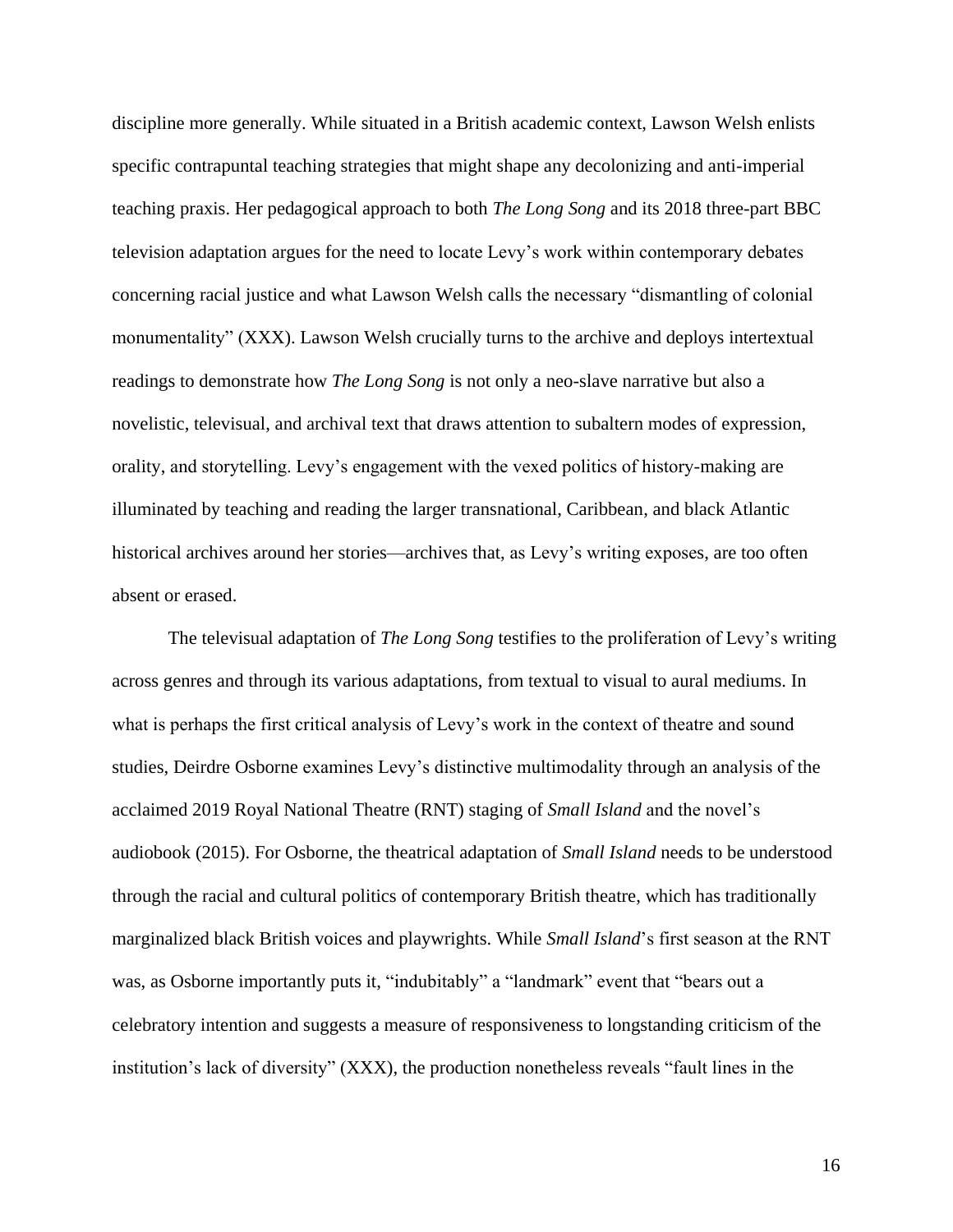discipline more generally. While situated in a British academic context, Lawson Welsh enlists specific contrapuntal teaching strategies that might shape any decolonizing and anti-imperial teaching praxis. Her pedagogical approach to both *The Long Song* and its 2018 three-part BBC television adaptation argues for the need to locate Levy's work within contemporary debates concerning racial justice and what Lawson Welsh calls the necessary "dismantling of colonial monumentality" (XXX). Lawson Welsh crucially turns to the archive and deploys intertextual readings to demonstrate how *The Long Song* is not only a neo-slave narrative but also a novelistic, televisual, and archival text that draws attention to subaltern modes of expression, orality, and storytelling. Levy's engagement with the vexed politics of history-making are illuminated by teaching and reading the larger transnational, Caribbean, and black Atlantic historical archives around her stories—archives that, as Levy's writing exposes, are too often absent or erased.

The televisual adaptation of *The Long Song* testifies to the proliferation of Levy's writing across genres and through its various adaptations, from textual to visual to aural mediums. In what is perhaps the first critical analysis of Levy's work in the context of theatre and sound studies, Deirdre Osborne examines Levy's distinctive multimodality through an analysis of the acclaimed 2019 Royal National Theatre (RNT) staging of *Small Island* and the novel's audiobook (2015). For Osborne, the theatrical adaptation of *Small Island* needs to be understood through the racial and cultural politics of contemporary British theatre, which has traditionally marginalized black British voices and playwrights. While *Small Island*'s first season at the RNT was, as Osborne importantly puts it, "indubitably" a "landmark" event that "bears out a celebratory intention and suggests a measure of responsiveness to longstanding criticism of the institution's lack of diversity" (XXX), the production nonetheless reveals "fault lines in the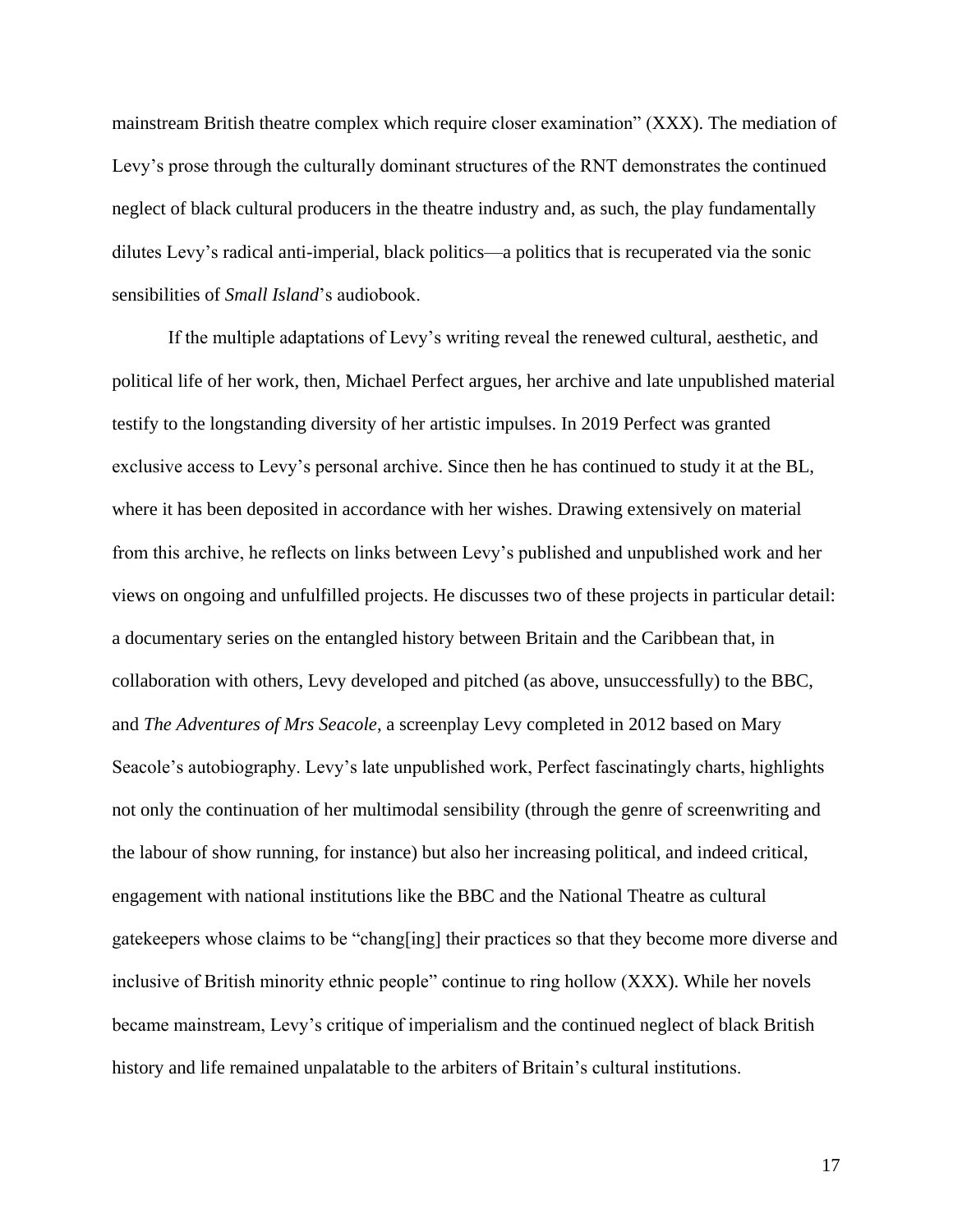mainstream British theatre complex which require closer examination" (XXX). The mediation of Levy's prose through the culturally dominant structures of the RNT demonstrates the continued neglect of black cultural producers in the theatre industry and, as such, the play fundamentally dilutes Levy's radical anti-imperial, black politics—a politics that is recuperated via the sonic sensibilities of *Small Island*'s audiobook.

If the multiple adaptations of Levy's writing reveal the renewed cultural, aesthetic, and political life of her work, then, Michael Perfect argues, her archive and late unpublished material testify to the longstanding diversity of her artistic impulses. In 2019 Perfect was granted exclusive access to Levy's personal archive. Since then he has continued to study it at the BL, where it has been deposited in accordance with her wishes. Drawing extensively on material from this archive, he reflects on links between Levy's published and unpublished work and her views on ongoing and unfulfilled projects. He discusses two of these projects in particular detail: a documentary series on the entangled history between Britain and the Caribbean that, in collaboration with others, Levy developed and pitched (as above, unsuccessfully) to the BBC, and *The Adventures of Mrs Seacole*, a screenplay Levy completed in 2012 based on Mary Seacole's autobiography. Levy's late unpublished work, Perfect fascinatingly charts, highlights not only the continuation of her multimodal sensibility (through the genre of screenwriting and the labour of show running, for instance) but also her increasing political, and indeed critical, engagement with national institutions like the BBC and the National Theatre as cultural gatekeepers whose claims to be "chang[ing] their practices so that they become more diverse and inclusive of British minority ethnic people" continue to ring hollow (XXX). While her novels became mainstream, Levy's critique of imperialism and the continued neglect of black British history and life remained unpalatable to the arbiters of Britain's cultural institutions.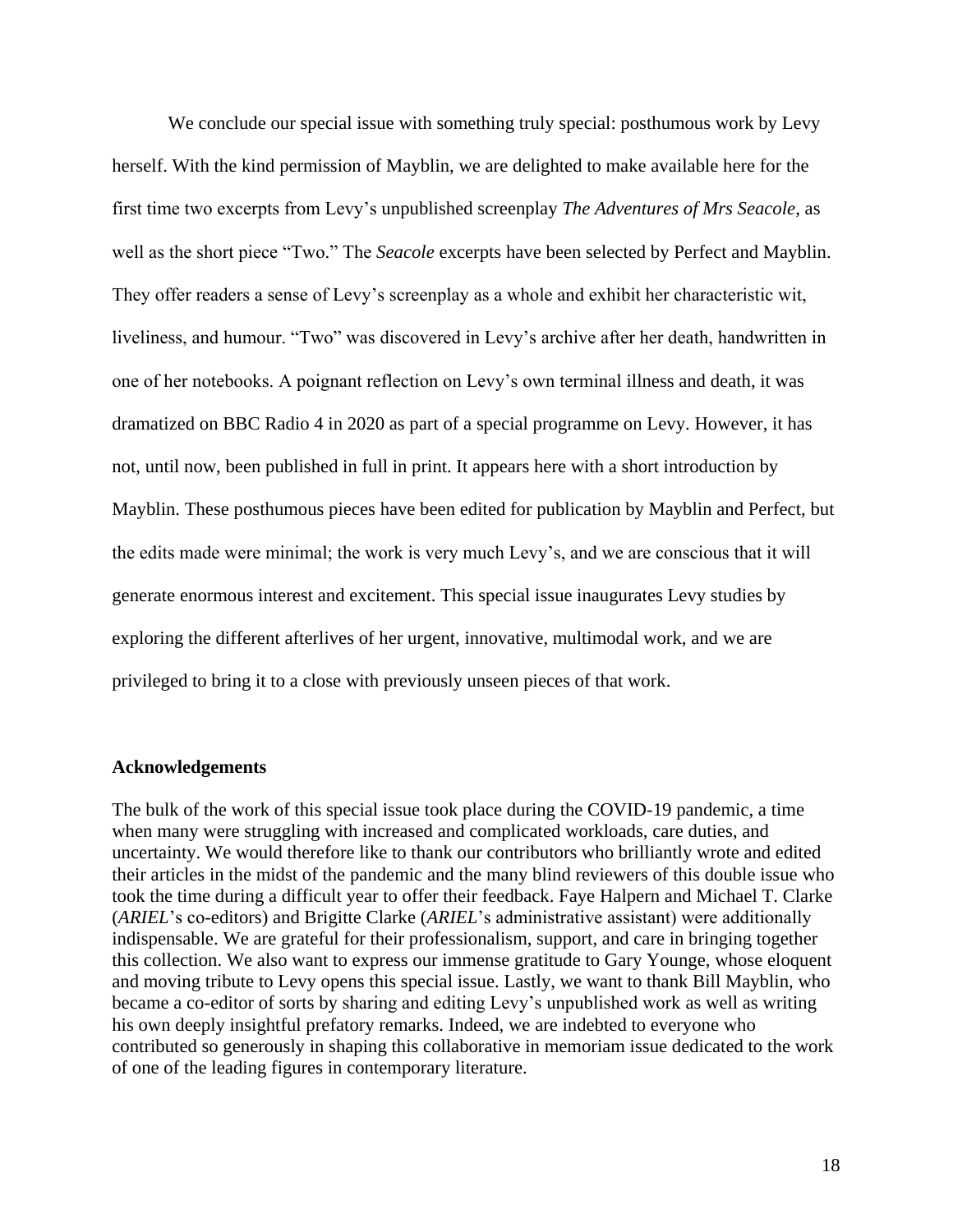We conclude our special issue with something truly special: posthumous work by Levy herself. With the kind permission of Mayblin, we are delighted to make available here for the first time two excerpts from Levy's unpublished screenplay *The Adventures of Mrs Seacole*, as well as the short piece "Two." The *Seacole* excerpts have been selected by Perfect and Mayblin. They offer readers a sense of Levy's screenplay as a whole and exhibit her characteristic wit, liveliness, and humour. "Two" was discovered in Levy's archive after her death, handwritten in one of her notebooks. A poignant reflection on Levy's own terminal illness and death, it was dramatized on BBC Radio 4 in 2020 as part of a special programme on Levy. However, it has not, until now, been published in full in print. It appears here with a short introduction by Mayblin. These posthumous pieces have been edited for publication by Mayblin and Perfect, but the edits made were minimal; the work is very much Levy's, and we are conscious that it will generate enormous interest and excitement. This special issue inaugurates Levy studies by exploring the different afterlives of her urgent, innovative, multimodal work, and we are privileged to bring it to a close with previously unseen pieces of that work.

#### **Acknowledgements**

The bulk of the work of this special issue took place during the COVID-19 pandemic, a time when many were struggling with increased and complicated workloads, care duties, and uncertainty. We would therefore like to thank our contributors who brilliantly wrote and edited their articles in the midst of the pandemic and the many blind reviewers of this double issue who took the time during a difficult year to offer their feedback. Faye Halpern and Michael T. Clarke (*ARIEL*'s co-editors) and Brigitte Clarke (*ARIEL*'s administrative assistant) were additionally indispensable. We are grateful for their professionalism, support, and care in bringing together this collection. We also want to express our immense gratitude to Gary Younge, whose eloquent and moving tribute to Levy opens this special issue. Lastly, we want to thank Bill Mayblin, who became a co-editor of sorts by sharing and editing Levy's unpublished work as well as writing his own deeply insightful prefatory remarks. Indeed, we are indebted to everyone who contributed so generously in shaping this collaborative in memoriam issue dedicated to the work of one of the leading figures in contemporary literature.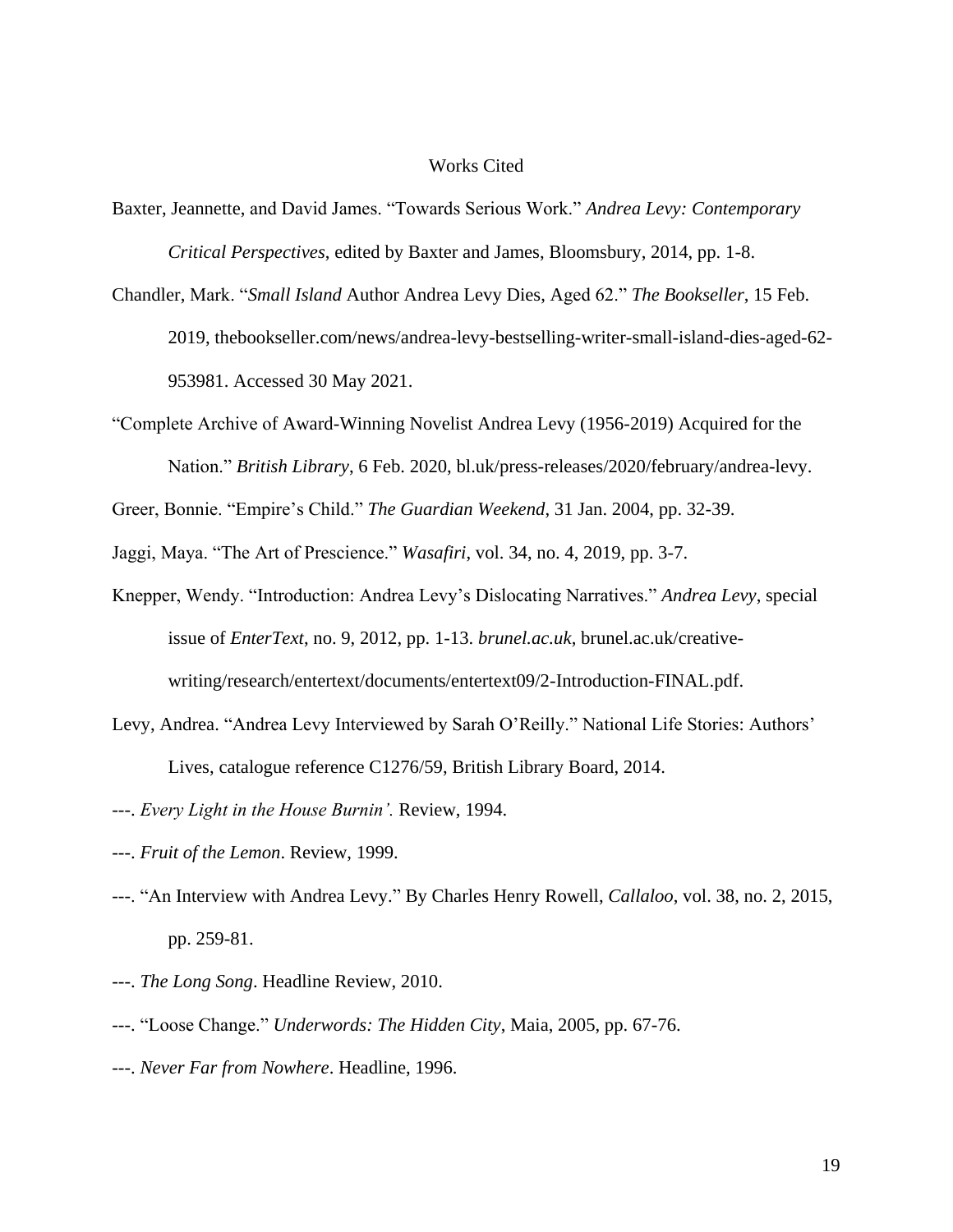## Works Cited

- Baxter, Jeannette, and David James. "Towards Serious Work." *Andrea Levy: Contemporary Critical Perspectives*, edited by Baxter and James, Bloomsbury, 2014, pp. 1-8.
- Chandler, Mark. "*Small Island* Author Andrea Levy Dies, Aged 62." *The Bookseller*, 15 Feb. 2019, thebookseller.com/news/andrea-levy-bestselling-writer-small-island-dies-aged-62- 953981. Accessed 30 May 2021.
- "Complete Archive of Award-Winning Novelist Andrea Levy (1956-2019) Acquired for the Nation." *British Library*, 6 Feb. 2020, bl.uk/press-releases/2020/february/andrea-levy.
- Greer, Bonnie. "Empire's Child." *The Guardian Weekend*, 31 Jan. 2004, pp. 32-39.
- Jaggi, Maya. "The Art of Prescience." *Wasafiri*, vol. 34, no. 4, 2019, pp. 3-7.
- Knepper, Wendy. "Introduction: Andrea Levy's Dislocating Narratives." *Andrea Levy*, special issue of *EnterText*, no. 9, 2012, pp. 1-13. *brunel.ac.uk*, brunel.ac.uk/creativewriting/research/entertext/documents/entertext09/2-Introduction-FINAL.pdf.
- Levy, Andrea. "Andrea Levy Interviewed by Sarah O'Reilly." National Life Stories: Authors' Lives, catalogue reference C1276/59, British Library Board, 2014.
- ---. *Every Light in the House Burnin'.* Review, 1994.
- ---. *Fruit of the Lemon*. Review, 1999.
- ---. "An Interview with Andrea Levy." By Charles Henry Rowell, *Callaloo*, vol. 38, no. 2, 2015, pp. 259-81.
- ---. *The Long Song*. Headline Review, 2010.
- ---. "Loose Change." *Underwords: The Hidden City*, Maia, 2005, pp. 67-76.
- ---. *Never Far from Nowhere*. Headline, 1996.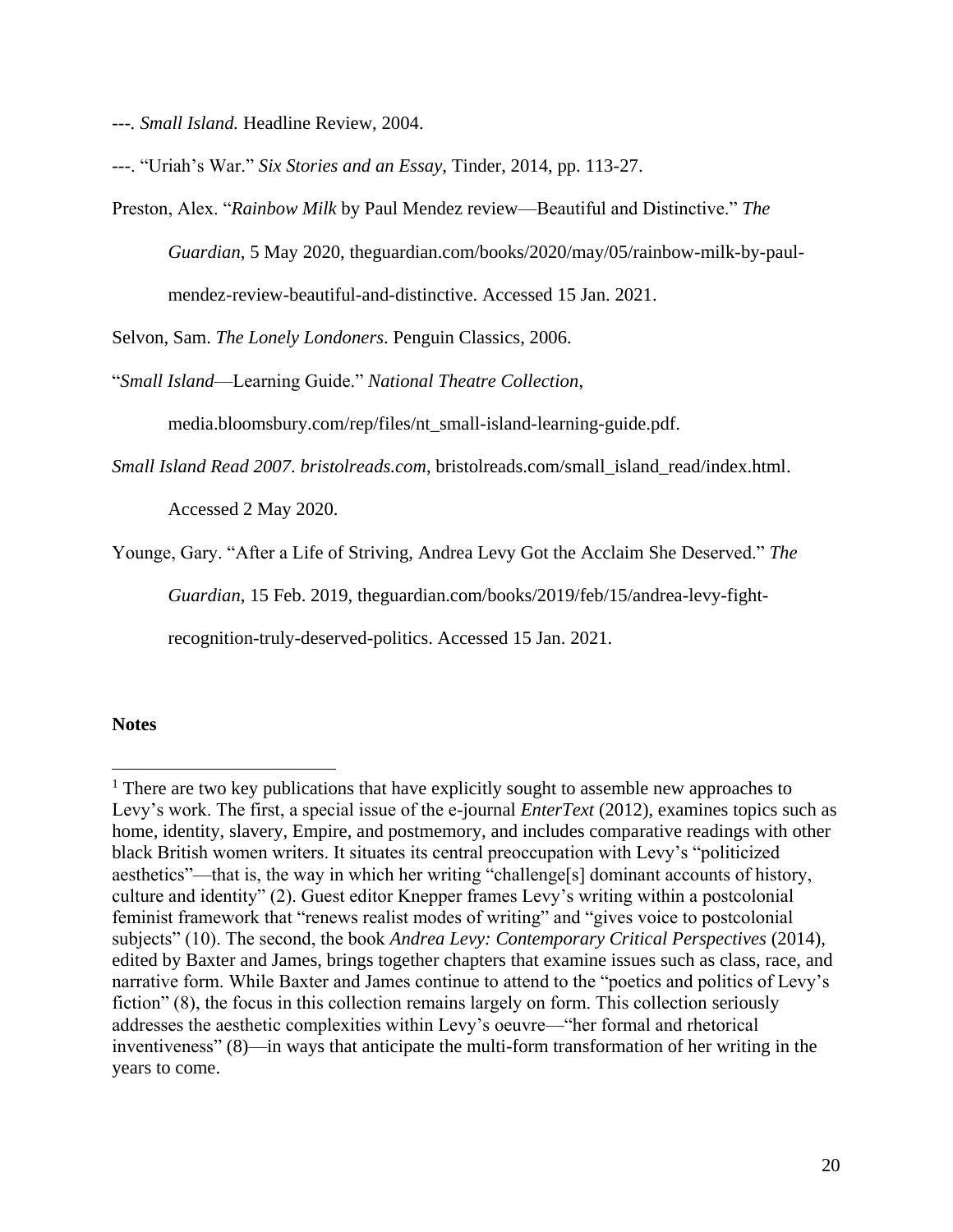*---. Small Island.* Headline Review, 2004.

---. "Uriah's War." *Six Stories and an Essay*, Tinder, 2014, pp. 113-27.

Preston, Alex. "*Rainbow Milk* by Paul Mendez review—Beautiful and Distinctive." *The Guardian*, 5 May 2020, theguardian.com/books/2020/may/05/rainbow-milk-by-paulmendez-review-beautiful-and-distinctive. Accessed 15 Jan. 2021.

Selvon, Sam. *The Lonely Londoners*. Penguin Classics, 2006.

"*Small Island*—Learning Guide." *National Theatre Collection*,

media.bloomsbury.com/rep/files/nt\_small-island-learning-guide.pdf.

*Small Island Read 2007*. *bristolreads.com*, bristolreads.com/small\_island\_read/index.html.

Accessed 2 May 2020.

Younge, Gary. "After a Life of Striving, Andrea Levy Got the Acclaim She Deserved." *The* 

*Guardian*, 15 Feb. 2019, theguardian.com/books/2019/feb/15/andrea-levy-fight-

recognition-truly-deserved-politics. Accessed 15 Jan. 2021.

#### **Notes**

 $\overline{a}$ 

<sup>&</sup>lt;sup>1</sup> There are two key publications that have explicitly sought to assemble new approaches to Levy's work. The first, a special issue of the e-journal *EnterText* (2012), examines topics such as home, identity, slavery, Empire, and postmemory, and includes comparative readings with other black British women writers. It situates its central preoccupation with Levy's "politicized aesthetics"—that is, the way in which her writing "challenge[s] dominant accounts of history, culture and identity" (2). Guest editor Knepper frames Levy's writing within a postcolonial feminist framework that "renews realist modes of writing" and "gives voice to postcolonial subjects" (10). The second, the book *Andrea Levy: Contemporary Critical Perspectives* (2014), edited by Baxter and James, brings together chapters that examine issues such as class, race, and narrative form. While Baxter and James continue to attend to the "poetics and politics of Levy's fiction" (8), the focus in this collection remains largely on form. This collection seriously addresses the aesthetic complexities within Levy's oeuvre—"her formal and rhetorical inventiveness" (8)—in ways that anticipate the multi-form transformation of her writing in the years to come.